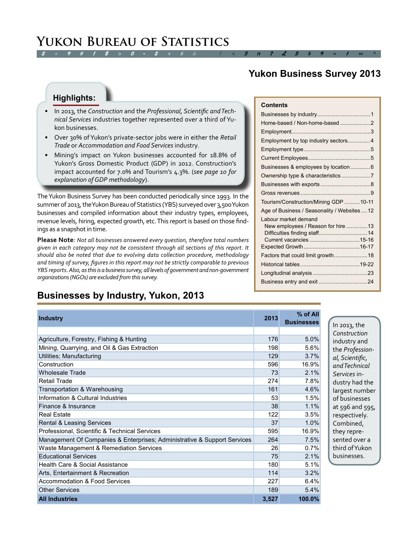## *2 ÷ 9 # 1 \$ > 0 - 2 + 6 & ± 8 < 3 π 7 £ 5 ‡ 9 ≈ 1 ∞ ^* **Yukon Bureau of Statistics**

## **Yukon Business Survey 2013**

#### **Highlights:**

- In 2013, the *Construction* and the *Professional, Scientific and Technical Services* industries together represented over a third of Yukon businesses.
- Over 30% of Yukon's private-sector jobs were in either the *Retail Trade* or *Accommodation and Food Services* industry.
- Mining's impact on Yukon businesses accounted for 18.8% of Yukon's Gross Domestic Product (GDP) in 2012. Construction's impact accounted for 7.0% and Tourism's 4.3%. (*see page 10 for explanation of GDP methodology*).

The Yukon Business Survey has been conducted periodically since 1993. In the summer of 2013, the Yukon Bureau of Statistics (YBS) surveyed over 3,500 Yukon businesses and compiled information about their industry types, employees, revenue levels, hiring, expected growth, etc. This report is based on those findings as a snapshot in time.

**Please Note***: Not all businesses answered every question, therefore total numbers given in each category may not be consistent through all sections of this report. It should also be noted that due to evolving data collection procedure, methodology and timing of survey, figures in this report may not be strictly comparable to previous YBS reports. Also, as this is a business survey, all levels of government and non-government organizations (NGOs) are excluded from this survey.*

## **Businesses by Industry, Yukon, 2013**

| <b>Industry</b>                                                          | 2013  | $%$ of All<br><b>Businesses</b> |
|--------------------------------------------------------------------------|-------|---------------------------------|
|                                                                          |       |                                 |
| Agriculture, Forestry, Fishing & Hunting                                 | 176   | 5.0%                            |
| Mining, Quarrying, and Oil & Gas Extraction                              | 198   | 5.6%                            |
| Utilities; Manufacturing                                                 | 129   | 3.7%                            |
| Construction                                                             | 596   | 16.9%                           |
| <b>Wholesale Trade</b>                                                   | 73    | 2.1%                            |
| <b>Retail Trade</b>                                                      | 274   | 7.8%                            |
| Transportation & Warehousing                                             | 161   | 4.6%                            |
| Information & Cultural Industries                                        | 53    | 1.5%                            |
| Finance & Insurance                                                      | 38    | 1.1%                            |
| <b>Real Estate</b>                                                       | 122   | 3.5%                            |
| <b>Rental &amp; Leasing Services</b>                                     | 37    | 1.0%                            |
| Professional, Scientific & Technical Services                            | 595   | 16.9%                           |
| Management Of Companies & Enterprises; Administrative & Support Services | 264   | 7.5%                            |
| Waste Management & Remediation Services                                  | 26    | 0.7%                            |
| <b>Educational Services</b>                                              | 75    | 2.1%                            |
| Health Care & Social Assistance                                          | 180   | 5.1%                            |
| Arts, Entertainment & Recreation                                         | 114   | 3.2%                            |
| <b>Accommodation &amp; Food Services</b>                                 | 227   | 6.4%                            |
| <b>Other Services</b>                                                    | 189   | 5.4%                            |
| <b>All Industries</b>                                                    | 3,527 | 100.0%                          |

## **Contents**

| Home-based / Non-home-based 2                |
|----------------------------------------------|
|                                              |
| Employment by top industry sectors4          |
|                                              |
|                                              |
| Businesses & employees by location  6        |
| Ownership type & characteristics 7           |
|                                              |
|                                              |
| Tourism/Construction/Mining GDP 10-11        |
| Age of Business / Seasonality / Websites  12 |
| Labour market demand                         |
| New employees / Reason for hire 13           |
|                                              |
|                                              |
| Factors that could limit growth18            |
|                                              |
|                                              |
|                                              |
|                                              |

In 2013, the *Construction*  industry and the *Professional, Scientific, and Technical Services* industry had the largest number of businesses at 596 and 595, respectively. Combined, they represented over a third of Yukon businesses.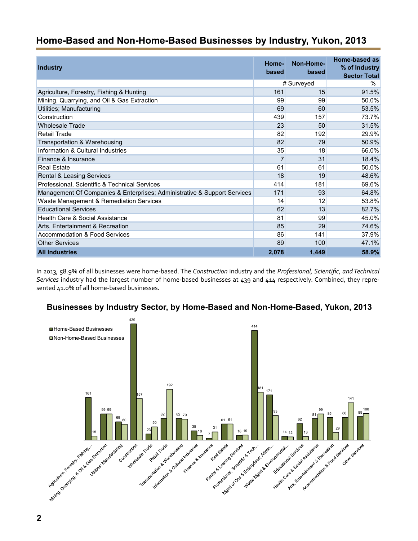## <span id="page-1-0"></span>**Home-Based and Non-Home-Based Businesses by Industry, Yukon, 2013**

| <b>Industry</b>                                                          | Home-<br>based | Non-Home-<br>based | Home-based as<br>% of Industry<br><b>Sector Total</b> |
|--------------------------------------------------------------------------|----------------|--------------------|-------------------------------------------------------|
|                                                                          |                | # Surveyed         | %                                                     |
| Agriculture, Forestry, Fishing & Hunting                                 | 161            | 15                 | 91.5%                                                 |
| Mining, Quarrying, and Oil & Gas Extraction                              | 99             | 99                 | 50.0%                                                 |
| Utilities; Manufacturing                                                 | 69             | 60                 | 53.5%                                                 |
| Construction                                                             | 439            | 157                | 73.7%                                                 |
| <b>Wholesale Trade</b>                                                   | 23             | 50                 | 31.5%                                                 |
| <b>Retail Trade</b>                                                      | 82             | 192                | 29.9%                                                 |
| Transportation & Warehousing                                             | 82             | 79                 | 50.9%                                                 |
| Information & Cultural Industries                                        | 35             | 18                 | 66.0%                                                 |
| Finance & Insurance                                                      | 7              | 31                 | 18.4%                                                 |
| <b>Real Estate</b>                                                       | 61             | 61                 | 50.0%                                                 |
| Rental & Leasing Services                                                | 18             | 19                 | 48.6%                                                 |
| Professional, Scientific & Technical Services                            | 414            | 181                | 69.6%                                                 |
| Management Of Companies & Enterprises; Administrative & Support Services | 171            | 93                 | 64.8%                                                 |
| Waste Management & Remediation Services                                  | 14             | 12                 | 53.8%                                                 |
| <b>Educational Services</b>                                              | 62             | 13                 | 82.7%                                                 |
| Health Care & Social Assistance                                          | 81             | 99                 | 45.0%                                                 |
| Arts, Entertainment & Recreation                                         | 85             | 29                 | 74.6%                                                 |
| Accommodation & Food Services                                            | 86             | 141                | 37.9%                                                 |
| <b>Other Services</b>                                                    | 89             | 100                | 47.1%                                                 |
| <b>All Industries</b>                                                    | 2,078          | 1,449              | 58.9%                                                 |

In 2013, 58.9% of all businesses were home-based. The *Construction* industry and the *Professional, Scientific, and Technical Services* industry had the largest number of home-based businesses at 439 and 414 respectively. Combined, they represented 41.0% of all home-based businesses.



#### **Businesses by Industry Sector, by Home-Based and Non-Home-Based, Yukon, 2013**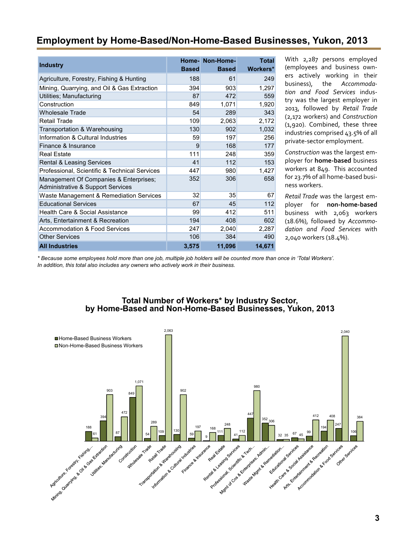## <span id="page-2-0"></span>**Employment by Home-Based/Non-Home-Based Businesses, Yukon, 2013**

| <b>Industry</b>                                                             | <b>Based</b> | Home- Non-Home-<br><b>Based</b> | <b>Total</b><br>Workers* |
|-----------------------------------------------------------------------------|--------------|---------------------------------|--------------------------|
| Agriculture, Forestry, Fishing & Hunting                                    | 188          | 61                              | 249                      |
| Mining, Quarrying, and Oil & Gas Extraction                                 | 394          | 903                             | 1,297                    |
| Utilities; Manufacturing                                                    | 87           | 472                             | 559                      |
| Construction                                                                | 849          | 1,071                           | 1,920                    |
| <b>Wholesale Trade</b>                                                      | 54           | 289                             | 343                      |
| <b>Retail Trade</b>                                                         | 109          | 2,063                           | 2,172                    |
| Transportation & Warehousing                                                | 130          | 902                             | 1,032                    |
| Information & Cultural Industries                                           | 59           | 197                             | 256                      |
| Finance & Insurance                                                         | 9            | 168                             | 177                      |
| <b>Real Estate</b>                                                          | 111          | 248                             | 359                      |
| Rental & Leasing Services                                                   | 41           | 112                             | 153                      |
| Professional, Scientific & Technical Services                               | 447          | 980                             | 1,427                    |
| Management Of Companies & Enterprises;<br>Administrative & Support Services | 352          | 306                             | 658                      |
| Waste Management & Remediation Services                                     | 32           | 35                              | 67                       |
| <b>Educational Services</b>                                                 | 67           | 45                              | 112                      |
| Health Care & Social Assistance                                             | 99           | 412                             | 511                      |
| Arts, Entertainment & Recreation                                            | 194          | 408                             | 602                      |
| <b>Accommodation &amp; Food Services</b>                                    | 247          | 2,040                           | 2,287                    |
| <b>Other Services</b>                                                       | 106          | 384                             | 490                      |
| <b>All Industries</b>                                                       | 3,575        | 11,096                          | 14,671                   |

With 2,287 persons employed (employees and business owners actively working in their business), the *Accommodation and Food Services* industry was the largest employer in 2013, followed by *Retail Trade* (2,172 workers) and *Construction* (1,920). Combined, these three industries comprised 43.5% of all private-sector employment.

*Construction* was the largest employer for **home-based** business workers at 849. This accounted for 23.7% of all home-based business workers.

*Retail Trade* was the largest employer for **non-home-based** business with 2,063 workers (18.6%), followed by *Accommodation and Food Services* with 2,040 workers (18.4%).

*\* Because some employees hold more than one job, multiple job holders will be counted more than once in 'Total Workers'. In addition, this total also includes any owners who actively work in their business.*

#### **Total Number of Workers\* by Industry Sector, by Home-Based and Non-Home-Based Businesses, Yukon, 2013**

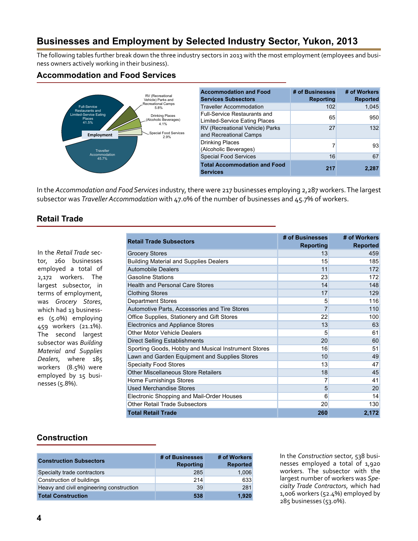## <span id="page-3-0"></span>**Businesses and Employment by Selected Industry Sector, Yukon, 2013**

The following tables further break down the three industry sectors in 2013 with the most employment (employees and business owners actively working in their business).

#### **Accommodation and Food Services**



| <b>Accommodation and Food</b><br><b>Services Subsectors</b>   | # of Businesses<br><b>Reporting</b> | # of Workers<br><b>Reported</b> |
|---------------------------------------------------------------|-------------------------------------|---------------------------------|
| <b>Traveller Accommodation</b>                                | 102                                 | 1,045                           |
| Full-Service Restaurants and<br>Limited-Service Eating Places | 65                                  | 950                             |
| RV (Recreational Vehicle) Parks<br>and Recreational Camps     | 27                                  | 132                             |
| <b>Drinking Places</b><br>(Alcoholic Beverages)               | 7                                   | 93                              |
| <b>Special Food Services</b>                                  | 16                                  | 67                              |
| <b>Total Accommodation and Food</b><br>Services               | 217                                 | 2,287                           |

In the *Accommodation and Food Services* industry, there were 217 businesses employing 2,287 workers. The largest subsector was *Traveller Accommodation* with 47.0% of the number of businesses and 45.7% of workers.

#### **Retail Trade**

In the *Retail Trade* sector, 260 businesses employed a total of 2,172 workers. The largest subsector, in terms of employment, was *Grocery Stores*, which had 13 businesses (5.0%) employing 459 workers (21.1%). The second largest subsector was *Building Material and Supplies Dealers*, where 185 workers (8.5%) were employed by 15 businesses (5.8%).

| <b>Retail Trade Subsectors</b>                      | # of Businesses  | # of Workers    |
|-----------------------------------------------------|------------------|-----------------|
|                                                     | <b>Reporting</b> | <b>Reported</b> |
| <b>Grocery Stores</b>                               | 13               | 459             |
| <b>Building Material and Supplies Dealers</b>       | 15               | 185             |
| <b>Automobile Dealers</b>                           | 11               | 172             |
| <b>Gasoline Stations</b>                            | 23               | 172             |
| <b>Health and Personal Care Stores</b>              | 14               | 148             |
| <b>Clothing Stores</b>                              | 17               | 129             |
| <b>Department Stores</b>                            | 5                | 116             |
| Automotive Parts, Accessories and Tire Stores       | 7                | 110             |
| Office Supplies, Stationery and Gift Stores         | 22               | 100             |
| <b>Electronics and Appliance Stores</b>             | 13               | 63              |
| <b>Other Motor Vehicle Dealers</b>                  | 5                | 61              |
| Direct Selling Establishments                       | 20               | 60              |
| Sporting Goods, Hobby and Musical Instrument Stores | 16               | 51              |
| Lawn and Garden Equipment and Supplies Stores       | 10               | 49              |
| <b>Specialty Food Stores</b>                        | 13               | 47              |
| <b>Other Miscellaneous Store Retailers</b>          | 18               | 45              |
| Home Furnishings Stores                             | 7                | 41              |
| <b>Used Merchandise Stores</b>                      | 5                | 20              |
| Electronic Shopping and Mail-Order Houses           | 6                | 14              |
| <b>Other Retail Trade Subsectors</b>                | 20               | 130             |
| <b>Total Retail Trade</b>                           | 260              | 2,172           |

#### **Construction**

| <b>Construction Subsectors</b>           | # of Businesses<br><b>Reporting</b> | # of Workers<br><b>Reported</b> |
|------------------------------------------|-------------------------------------|---------------------------------|
| Specialty trade contractors              | 285                                 | 1,006                           |
| Construction of buildings                | 214                                 | 633                             |
| Heavy and civil engineering construction | 39                                  | 281                             |
| <b>Total Construction</b>                | 538                                 | 1,920                           |

In the *Construction* sector, 538 businesses employed a total of 1,920 workers. The subsector with the largest number of workers was *Specialty Trade Contractors*, which had 1,006 workers (52.4%) employed by 285 businesses (53.0%).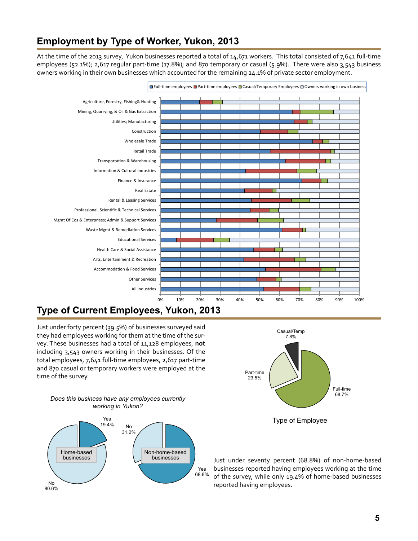## <span id="page-4-0"></span>**Employment by Type of Worker, Yukon, 2013**

At the time of the 2013 survey, Yukon businesses reported a total of 14,671 workers. This total consisted of 7,641 full-time employees (52.1%); 2,617 regular part-time (17.8%); and 870 temporary or casual (5.9%). There were also 3,543 business owners working in their own businesses which accounted for the remaining 24.1% of private sector employment.



## **Type of Current Employees, Yukon, 2013**

Just under forty percent (39.5%) of businesses surveyed said they had employees working for them at the time of the survey. These businesses had a total of 11,128 employees, **not**  including 3,543 owners working in their businesses. Of the total employees, 7,641 full-time employees, 2,617 part-time and 870 casual or temporary workers were employed at the time of the survey.







Just under seventy percent (68.8%) of non-home-based businesses reported having employees working at the time of the survey, while only 19.4% of home-based businesses reported having employees.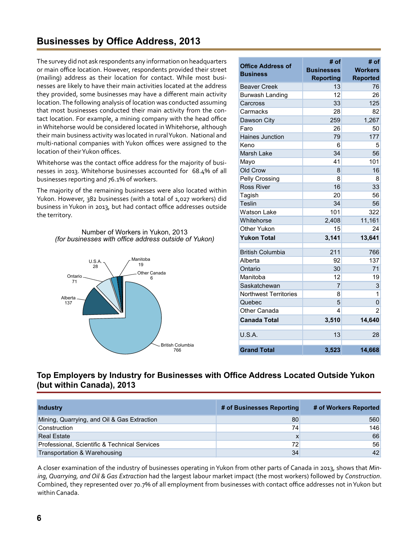## <span id="page-5-0"></span>**Businesses by Office Address, 2013**

The survey did not ask respondents any information on headquarters or main office location. However, respondents provided their street (mailing) address as their location for contact. While most businesses are likely to have their main activities located at the address they provided, some businesses may have a different main activity location. The following analysis of location was conducted assuming that most businesses conducted their main activity from the contact location. For example, a mining company with the head office in Whitehorse would be considered located in Whitehorse, although their main business activity was located in rural Yukon. National and multi-national companies with Yukon offices were assigned to the location of their Yukon offices.

Whitehorse was the contact office address for the majority of businesses in 2013. Whitehorse businesses accounted for 68.4% of all businesses reporting and 76.1% of workers.

The majority of the remaining businesses were also located within Yukon. However, 382 businesses (with a total of 1,027 workers) did business in Yukon in 2013, but had contact office addresses outside the territory.

Number of Workers in Yukon, 2013 *(for businesses with office address outside of Yukon)*



| <b>Office Address of</b><br><b>Business</b> | # of<br><b>Businesses</b><br><b>Reporting</b> | # of<br><b>Workers</b><br><b>Reported</b> |
|---------------------------------------------|-----------------------------------------------|-------------------------------------------|
| <b>Beaver Creek</b>                         | 13                                            | 76                                        |
| Burwash Landing                             | 12                                            | 26                                        |
| Carcross                                    | 33                                            | 125                                       |
| Carmacks                                    | 28                                            | 82                                        |
| Dawson City                                 | 259                                           | 1,267                                     |
| Faro                                        | 26                                            | 50                                        |
| <b>Haines Junction</b>                      | 79                                            | 177                                       |
| Keno                                        | 6                                             | 5                                         |
| Marsh Lake                                  | 34                                            | 56                                        |
| Mayo                                        | 41                                            | 101                                       |
| Old Crow                                    | 8                                             | 16                                        |
| Pelly Crossing                              | 8                                             | 8                                         |
| <b>Ross River</b>                           | 16                                            | 33                                        |
| Tagish                                      | 20                                            | 56                                        |
| <b>Teslin</b>                               | 34                                            | 56                                        |
| <b>Watson Lake</b>                          | 101                                           | 322                                       |
| Whitehorse                                  | 2,408                                         | 11,161                                    |
| Other Yukon                                 | 15                                            | 24                                        |
| <b>Yukon Total</b>                          | 3,141                                         | 13,641                                    |
| <b>British Columbia</b>                     | 211                                           | 766                                       |
| Alberta                                     | 92                                            | 137                                       |
| Ontario                                     | 30                                            | 71                                        |
| Manitoba                                    | 12                                            | 19                                        |
| Saskatchewan                                | $\overline{7}$                                | 3                                         |
| <b>Northwest Territories</b>                | 8                                             | 1                                         |
| Quebec                                      | 5                                             | 0                                         |
| Other Canada                                | 4                                             | 2                                         |
| <b>Canada Total</b>                         | 3,510                                         | 14,640                                    |
| U.S.A.                                      | 13                                            | 28                                        |
| <b>Grand Total</b>                          | 3,523                                         | 14,668                                    |

#### **Top Employers by Industry for Businesses with Office Address Located Outside Yukon (but within Canada), 2013**

| <b>Industry</b>                               | # of Businesses Reporting | # of Workers Reported |
|-----------------------------------------------|---------------------------|-----------------------|
| Mining, Quarrying, and Oil & Gas Extraction   | 80                        | 560                   |
| Construction                                  | 74                        | 146                   |
| <b>Real Estate</b>                            | X                         | 66                    |
| Professional, Scientific & Technical Services | 72                        | 56                    |
| Transportation & Warehousing                  | 34                        | 42                    |

A closer examination of the industry of businesses operating in Yukon from other parts of Canada in 2013, shows that *Mining, Quarrying, and Oil & Gas Extraction* had the largest labour market impact (the most workers) followed by *Construction*. Combined, they represented over 70.7% of all employment from businesses with contact office addresses not in Yukon but within Canada.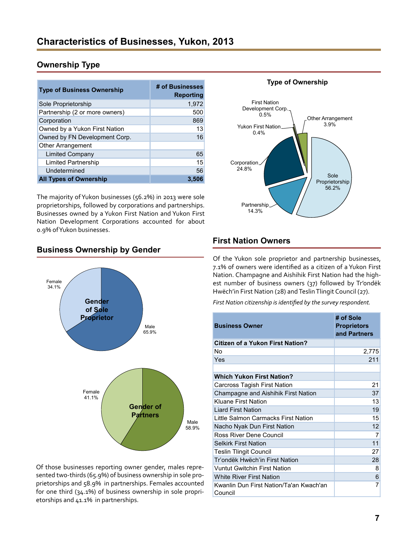#### <span id="page-6-0"></span>**Ownership Type**

| <b>Type of Business Ownership</b> | # of Businesses<br><b>Reporting</b> | <b>Type of Ownership</b>    |
|-----------------------------------|-------------------------------------|-----------------------------|
| Sole Proprietorship               | 1,972                               | <b>First Nation</b>         |
| Partnership (2 or more owners)    | 500                                 | Development Corp.<br>0.5%   |
| Corporation                       | 869                                 | _Other Arrange<br>3.9%      |
| Owned by a Yukon First Nation     | 13                                  | Yukon First Nation_<br>0.4% |
| Owned by FN Development Corp.     | 16                                  |                             |
| Other Arrangement                 |                                     |                             |
| <b>Limited Company</b>            | 65                                  |                             |
| Limited Partnership               | 15                                  | Corporation                 |
| Undetermined                      | 56                                  | 24.8%                       |
| <b>All Types of Ownership</b>     | 3,506                               | Sole<br>Proprietor          |

The majority of Yukon businesses (56.2%) in 2013 were sole proprietorships, followed by corporations and partnerships. Businesses owned by a Yukon First Nation and Yukon First Nation Development Corporations accounted for about 0.9% of Yukon businesses.

# Male 58.9% Female 41.1% Male 65.9% Female 34.1% **Gender of Sole Proprietor Gender of Partners**

**Business Ownership by Gender**

Of those businesses reporting owner gender, males represented two-thirds (65.9%) of business ownership in sole proprietorships and 58.9% in partnerships. Females accounted for one third (34.1%) of business ownership in sole proprietorships and 41.1% in partnerships.

## Proprietorship 56.2% **Partnership** 14.3% Corporation 24.8% Yukon First Nation  $0.4%$ First Nation Development Corp. 0.5% Cther Arrangement 3.9%

**Type of Ownership**

#### **First Nation Owners**

Of the Yukon sole proprietor and partnership businesses, 7.1% of owners were identified as a citizen of a Yukon First Nation. Champagne and Aishihik First Nation had the highest number of business owners (37) followed by Tr'ondëk Hwëch'in First Nation (28) and Teslin Tlingit Council (27).

*First Nation citizenship is identified by the survey respondent.*

| <b>Business Owner</b>                              | # of Sole<br><b>Proprietors</b><br>and Partners |
|----------------------------------------------------|-------------------------------------------------|
| <b>Citizen of a Yukon First Nation?</b>            |                                                 |
| N٥                                                 | 2,775                                           |
| Yes                                                | 211                                             |
|                                                    |                                                 |
| <b>Which Yukon First Nation?</b>                   |                                                 |
| Carcross Tagish First Nation                       | 21                                              |
| Champagne and Aishihik First Nation                | 37                                              |
| Kluane First Nation                                | 13                                              |
| <b>Liard First Nation</b>                          | 19                                              |
| Little Salmon Carmacks First Nation                | 15                                              |
| Nacho Nyak Dun First Nation                        | 12                                              |
| Ross River Dene Council                            | 7                                               |
| <b>Selkirk First Nation</b>                        | 11                                              |
| <b>Teslin Tlingit Council</b>                      | 27                                              |
| Tr'ondëk Hwëch'in First Nation                     | 28                                              |
| <b>Vuntut Gwitchin First Nation</b>                | 8                                               |
| <b>White River First Nation</b>                    | 6                                               |
| Kwanlin Dun First Nation/Ta'an Kwach'an<br>Council | 7                                               |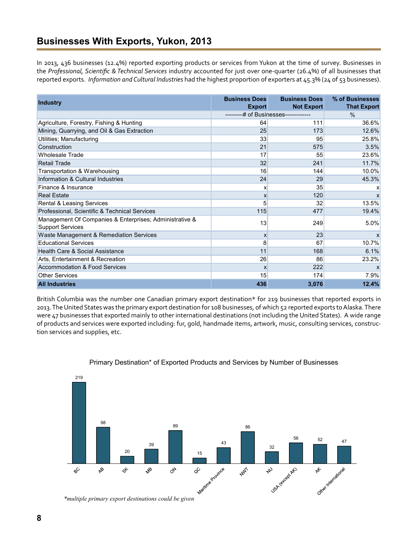## <span id="page-7-0"></span>**Businesses With Exports, Yukon, 2013**

In 2013, 436 businesses (12.4%) reported exporting products or services from Yukon at the time of survey. Businesses in the *Professional, Scientific & Technical Services* industry accounted for just over one-quarter (26.4%) of all businesses that reported exports. *Information and Cultural Industries* had the highest proportion of exporters at 45.3% (24 of 53 businesses).

| Industry                                                                           | <b>Business Does</b><br><b>Export</b> | <b>Business Does</b><br><b>Not Export</b> | % of Businesses<br><b>That Export</b> |
|------------------------------------------------------------------------------------|---------------------------------------|-------------------------------------------|---------------------------------------|
|                                                                                    | -# of Businesses-------------         |                                           | $\frac{0}{0}$                         |
| Agriculture, Forestry, Fishing & Hunting                                           | 64                                    | 111                                       | 36.6%                                 |
| Mining, Quarrying, and Oil & Gas Extraction                                        | 25                                    | 173                                       | 12.6%                                 |
| Utilities; Manufacturing                                                           | 33                                    | 95                                        | 25.8%                                 |
| Construction                                                                       | 21                                    | 575                                       | 3.5%                                  |
| <b>Wholesale Trade</b>                                                             | 17                                    | 55                                        | 23.6%                                 |
| <b>Retail Trade</b>                                                                | 32                                    | 241                                       | 11.7%                                 |
| Transportation & Warehousing                                                       | 16                                    | 144                                       | 10.0%                                 |
| Information & Cultural Industries                                                  | 24                                    | 29                                        | 45.3%                                 |
| Finance & Insurance                                                                | x                                     | 35                                        | x                                     |
| <b>Real Estate</b>                                                                 | X                                     | 120                                       | X                                     |
| Rental & Leasing Services                                                          | 5                                     | 32                                        | 13.5%                                 |
| Professional, Scientific & Technical Services                                      | 115                                   | 477                                       | 19.4%                                 |
| Management Of Companies & Enterprises; Administrative &<br><b>Support Services</b> | 13                                    | 249                                       | 5.0%                                  |
| Waste Management & Remediation Services                                            | $\mathbf{x}$                          | 23                                        | X                                     |
| <b>Educational Services</b>                                                        | 8                                     | 67                                        | 10.7%                                 |
| Health Care & Social Assistance                                                    | 11                                    | 168                                       | 6.1%                                  |
| Arts, Entertainment & Recreation                                                   | 26                                    | 86                                        | 23.2%                                 |
| Accommodation & Food Services                                                      | X                                     | 222                                       | $\boldsymbol{\mathsf{x}}$             |
| <b>Other Services</b>                                                              | 15                                    | 174                                       | 7.9%                                  |
| <b>All Industries</b>                                                              | 436                                   | 3,076                                     | 12.4%                                 |

British Columbia was the number one Canadian primary export destination\* for 219 businesses that reported exports in 2013. The United States was the primary export destination for 108 businesses, of which 52 reported exports to Alaska. There were 47 businesses that exported mainly to other international destinations (not including the United States). A wide range of products and services were exported including: fur, gold, handmade items, artwork, music, consulting services, construction services and supplies, etc.



#### Primary Destination\* of Exported Products and Services by Number of Businesses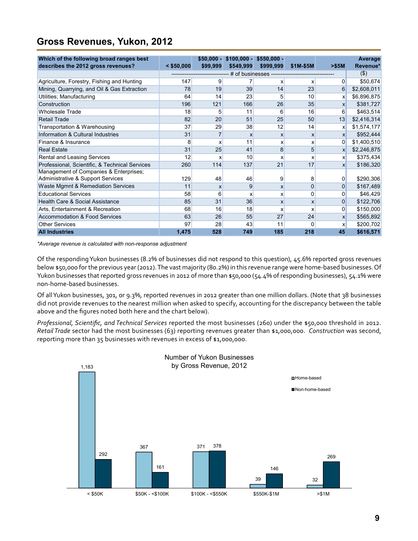## <span id="page-8-0"></span>**Gross Revenues, Yukon, 2012**

| Which of the following broad ranges best       |              | $$50,000 -$  |                    | $$100,000 - $550,000 -$ |                 |              | <b>Average</b> |
|------------------------------------------------|--------------|--------------|--------------------|-------------------------|-----------------|--------------|----------------|
| describes the 2012 gross revenues?             | $<$ \$50,000 | \$99,999     | \$549,999          | \$999,999               | \$1M-\$5M       | > \$5M       | Revenue*       |
|                                                |              |              | # of businesses -- |                         | --------------- |              | $($ \$)        |
| Agriculture, Forestry, Fishing and Hunting     | 147          | 9            | 7                  | x                       | $\mathsf{x}$    | 0            | \$50,674       |
| Mining, Quarrying, and Oil & Gas Extraction    | 78           | 19           | 39                 | 14                      | 23              | 6            | \$2,608,011    |
| Utilities: Manufacturing                       | 64           | 14           | 23                 | 5                       | 10              | X            | \$6,896,875    |
| Construction                                   | 196          | 121          | 166                | 26                      | 35              | $\mathsf{x}$ | \$381,727      |
| <b>Wholesale Trade</b>                         | 18           | 5            | 11                 | 6                       | 16              | 6            | \$463,514      |
| <b>Retail Trade</b>                            | 82           | 20           | 51                 | 25                      | 50              | 13           | \$2,416,314    |
| Transportation & Warehousing                   | 37           | 29           | 38                 | 12                      | 14              | X            | \$1,574,177    |
| Information & Cultural Industries              | 31           |              | X                  | $\mathsf{x}$            | $\mathsf{x}$    | $\mathsf{x}$ | \$952,444      |
| Finance & Insurance                            | 8            | x            | 11                 | x                       | X               | 0            | \$1,400,510    |
| <b>Real Estate</b>                             | 31           | 25           | 41                 | 8                       | 5               | $\mathsf{x}$ | \$2,246,875    |
| Rental and Leasing Services                    | 12           | x            | 10                 | X                       | x               | X            | \$375,434      |
| Professional, Scientific, & Technical Services | 260          | 114          | 137                | 21                      | 17              | X            | \$186,320      |
| Management of Companies & Enterprises;         |              |              |                    |                         |                 |              |                |
| Administrative & Support Services              | 129          | 48           | 46                 | 9                       | 8               | 0            | \$290,306      |
| Waste Mgmnt & Remediation Services             | 11           | $\mathsf{x}$ | 9                  | $\mathsf{x}$            | $\Omega$        | $\Omega$     | \$167,489      |
| <b>Educational Services</b>                    | 58           | 6            | x                  | x                       | 0               | 0            | \$46,429       |
| Health Care & Social Assistance                | 85           | 31           | 36                 | x                       | $\mathsf{x}$    | $\Omega$     | \$122,706      |
| Arts, Entertainment & Recreation               | 68           | 16           | 18                 | x                       | x               | 0            | \$150,000      |
| Accommodation & Food Services                  | 63           | 26           | 55                 | 27                      | 24              | $\mathsf{x}$ | \$565,892      |
| <b>Other Services</b>                          | 97           | 28           | 43                 | 11                      | $\Omega$        | X            | \$200,702      |
| <b>All Industries</b>                          | 1,475        | 528          | 749                | 185                     | 218             | 45           | \$616,571      |

*\*Average revenue is calculated with non-response adjustment*

Of the responding Yukon businesses (8.2% of businesses did not respond to this question), 45.6% reported gross revenues below \$50,000 for the previous year (2012). The vast majority (80.2%) in this revenue range were home-based businesses. Of Yukon businesses that reported gross revenues in 2012 of more than \$50,000 (54.4% of responding businesses), 54.1% were non-home-based businesses.

Of all Yukon businesses, 301, or 9.3%, reported revenues in 2012 greater than one million dollars. (Note that 38 businesses did not provide revenues to the nearest million when asked to specify, accounting for the discrepancy between the table above and the figures noted both here and the chart below).

*Professional, Scientific, and Technical Services* reported the most businesses (260) under the \$50,000 threshold in 2012. *Retail Trade* sector had the most businesses (63) reporting revenues greater than \$1,000,000. *Construction* was second, reporting more than 35 businesses with revenues in excess of \$1,000,000.

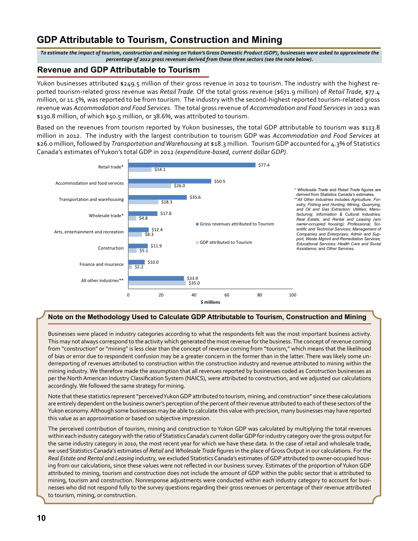## <span id="page-9-0"></span>**GDP Attributable to Tourism, Construction and Mining**

*To estimate the impact of tourism, construction and mining on Yukon's Gross Domestic Product (GDP), businesses were asked to approximate the percentage of 2012 gross revenues derived from these three sectors (see the note below).*

#### **Revenue and GDP Attributable to Tourism**

Yukon businesses attributed \$249.5 million of their gross revenue in 2012 to tourism. The industry with the highest reported tourism-related gross revenue was *Retail Trade.* Of the total gross revenue (\$671.9 million) of *Retail Trade*, \$77.4 million, or 11.5%, was reported to be from tourism. The industry with the second-highest reported tourism-related gross revenue was *Accommodation and Food Services.* The total gross revenue of *Accommodation and Food Services* in 2012 was \$130.8 million, of which \$50.5 million, or 38.6%, was attributed to tourism.

Based on the revenues from tourism reported by Yukon businesses, the total GDP attributable to tourism was \$113.8 million in 2012. The industry with the largest contribution to tourism GDP was *Accommodation and Food Services* at \$26.0 million, followed by *Transportation and Warehousing* at \$18.3 million.Tourism GDP accounted for 4.3% of Statistics Canada's estimates of Yukon's total GDP in 2012 *(expenditure-based, current dollar GDP)*.



#### **Note on the Methodology Used to Calculate GDP Attributable to Tourism, Construction and Mining**

Businesses were placed in industry categories according to what the respondents felt was the most important business activity. This may not always correspond to the activity which generated the most revenue for the business. The concept of revenue coming from "construction" or "mining" is less clear than the concept of revenue coming from "tourism," which means that the likelihood of bias or error due to respondent confusion may be a greater concern in the former than in the latter. There was likely some underreporting of revenues attributed to construction within the construction industry and revenue attributed to mining within the mining industry. We therefore made the assumption that all revenues reported by businesses coded as *Construction* businesses as per the North American Industry Classification System (NAICS), were attributed to construction, and we adjusted our calculations accordingly. We followed the same strategy for mining.

Note that these statistics represent "perceived Yukon GDP attributed to tourism, mining, and construction" since these calculations are entirely dependent on the business owner's perception of the percent of their revenue attributed to each of these sectors of the Yukon economy. Although some businesses may be able to calculate this value with precision, many businesses may have reported this value as an approximation or based on subjective impression.

The perceived contribution of tourism, mining and construction to Yukon GDP was calculated by multiplying the total revenues within each industry category with the ratio of Statistics Canada's current dollar GDP for industry category over the gross output for the same industry category in 2010, the most recent year for which we have these data. In the case of retail and wholesale trade, we used Statistics Canada's estimates of *Retail* and *Wholesale Trade* figures in the place of Gross Output in our calculations. For the *Real Estate and Rental and Leasing* industry, we excluded Statistics Canada's estimates of GDP attributed to owner-occupied housing from our calculations, since these values were not reflected in our business survey. Estimates of the proportion of Yukon GDP attributed to mining, tourism and construction does not include the amount of GDP within the public sector that is attributed to mining, tourism and construction. Nonresponse adjustments were conducted within each industry category to account for businesses who did not respond fully to the survey questions regarding their gross revenues or percentage of their revenue attributed to tourism, mining, or construction.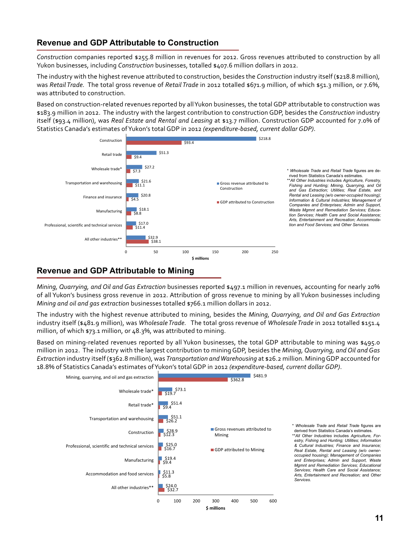#### **Revenue and GDP Attributable to Construction**

*Construction* companies reported \$255.8 million in revenues for 2012. Gross revenues attributed to construction by all Yukon businesses, including *Construction* businesses, totalled \$407.6 million dollars in 2012.

The industry with the highest revenue attributed to construction, besides the *Construction* industry itself (\$218.8 million), was *Retail Trade.* The total gross revenue of *Retail Trade* in 2012 totalled \$671.9 million, of which \$51.3 million, or 7.6%, was attributed to construction.

Based on construction-related revenues reported by all Yukon businesses, the total GDP attributable to construction was \$183.9 million in 2012. The industry with the largest contribution to construction GDP, besides the *Construction* industry itself (\$93.4 million), was *Real Estate and Rental and Leasing* at \$13.7 million. Construction GDP accounted for 7.0% of Statistics Canada's estimates of Yukon's total GDP in 2012 *(expenditure-based, current dollar GDP)*.



#### **Revenue and GDP Attributable to Mining**

*Mining, Quarrying, and Oil and Gas Extraction* businesses reported \$497.1 million in revenues, accounting for nearly 20% of all Yukon's business gross revenue in 2012. Attribution of gross revenue to mining by all Yukon businesses including *Mining and oil and gas extraction* businesses totalled \$766.1 million dollars in 2012.

The industry with the highest revenue attributed to mining, besides the *Mining, Quarrying, and Oil and Gas Extraction* industry itself (\$481.9 million), was *Wholesale Trade.* The total gross revenue of *Wholesale Trade* in 2012 totalled \$151.4 million, of which \$73.1 million, or 48.3%, was attributed to mining.

Based on mining-related revenues reported by all Yukon businesses, the total GDP attributable to mining was \$495.0 million in 2012. The industry with the largest contribution to mining GDP, besides the *Mining, Quarrying, and Oil and Gas Extraction* industry itself (\$362.8 million), was *Transportation and Warehousing* at \$26.2 million. Mining GDP accounted for 18.8% of Statistics Canada's estimates of Yukon's total GDP in 2012 *(expenditure-based, current dollar GDP)*.



\* *Wholesale Trade* and *Retail Trade* figures are

derived from Statistics Canada's estimates. \*\**All Other Industries* includes *Agriculture, Forestry, Fishing and Hunting; Utilities; Information & Cultural Industries; Finance and Insurance; Real Estate, Rental and Leasing (w/o owneroccupied housing); Management of Companies and Enterprises; Admin and Support, Waste Mgmnt and Remediation Services; Educational Services; Health Care and Social Assistance; Arts, Entertainment and Recreation;* and *Other Services.*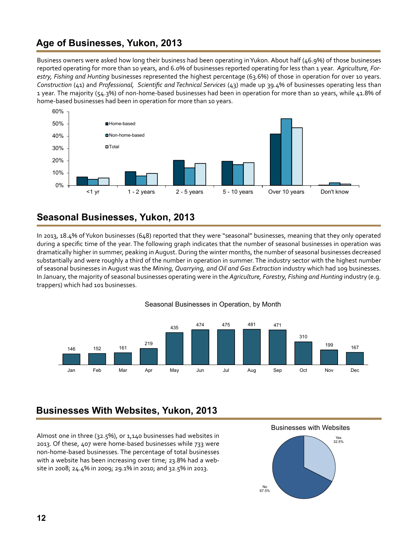## <span id="page-11-0"></span>**Age of Businesses, Yukon, 2013**

Business owners were asked how long their business had been operating in Yukon. About half (46.9%) of those businesses reported operating for more than 10 years, and 6.0% of businesses reported operating for less than 1 year. *Agriculture, Forestry, Fishing and Hunting* businesses represented the highest percentage (63.6%) of those in operation for over 10 years. *Construction* (41) and *Professional, Scientific and Technical Services* (43) made up 39.4% of businesses operating less than 1 year. The majority (54.3%) of non-home-based businesses had been in operation for more than 10 years, while 41.8% of home-based businesses had been in operation for more than 10 years.



### **Seasonal Businesses, Yukon, 2013**

In 2013, 18.4% of Yukon businesses (648) reported that they were "seasonal" businesses, meaning that they only operated during a specific time of the year. The following graph indicates that the number of seasonal businesses in operation was dramatically higher in summer, peaking in August. During the winter months, the number of seasonal businesses decreased substantially and were roughly a third of the number in operation in summer. The industry sector with the highest number of seasonal businesses in August was the *Mining, Quarrying, and Oil and Gas Extraction* industry which had 109 businesses. In January, the majority of seasonal businesses operating were in the *Agriculture, Forestry, Fishing and Hunting* industry (e.g. trappers) which had 101 businesses.





## **Businesses With Websites, Yukon, 2013**

Almost one in three (32.5%), or 1,140 businesses had websites in 2013. Of these, 407 were home-based businesses while 733 were non-home-based businesses. The percentage of total businesses with a website has been increasing over time; 23.8% had a website in 2008; 24.4% in 2009; 29.1% in 2010; and 32.5% in 2013.

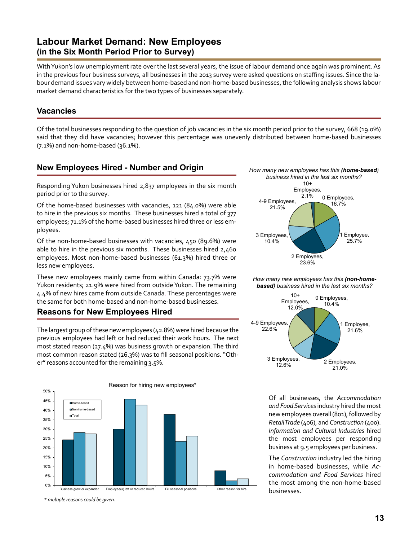## <span id="page-12-0"></span>**Labour Market Demand: New Employees (in the Six Month Period Prior to Survey)**

With Yukon's low unemployment rate over the last several years, the issue of labour demand once again was prominent. As in the previous four business surveys, all businesses in the 2013 survey were asked questions on staffing issues. Since the labour demand issues vary widely between home-based and non-home-based businesses, the following analysis shows labour market demand characteristics for the two types of businesses separately.

#### **Vacancies**

Of the total businesses responding to the question of job vacancies in the six month period prior to the survey, 668 (19.0%) said that they did have vacancies; however this percentage was unevenly distributed between home-based businesses (7.1%) and non-home-based (36.1%).

#### **New Employees Hired - Number and Origin**

Responding Yukon businesses hired 2,837 employees in the six month period prior to the survey.

Of the home-based businesses with vacancies, 121 (84.0%) were able to hire in the previous six months. These businesses hired a total of 377 employees; 71.1% of the home-based businesses hired three or less employees.

Of the non-home-based businesses with vacancies, 450 (89.6%) were able to hire in the previous six months. These businesses hired 2,460 employees. Most non-home-based businesses (61.3%) hired three or less new employees.

These new employees mainly came from within Canada: 73.7% were Yukon residents; 21.9% were hired from outside Yukon. The remaining 4.4% of new hires came from outside Canada. These percentages were the same for both home-based and non-home-based businesses.

#### **Reasons for New Employees Hired**

The largest group of these new employees (42.8%) were hired because the previous employees had left or had reduced their work hours. The next most stated reason (27.4%) was business growth or expansion. The third most common reason stated (26.3%) was to fill seasonal positions. "Other" reasons accounted for the remaining 3.5%.



*\* multiple reasons could be given.*









Of all businesses, the *Accommodation and Food Services* industry hired the most new employees overall (801), followed by *Retail Trade* (406), and *Construction* (400). *Information and Cultural Industries* hired the most employees per responding business at 9.5 employees per business.

The *Construction* industry led the hiring in home-based businesses, while *Accommodation and Food Services* hired the most among the non-home-based businesses.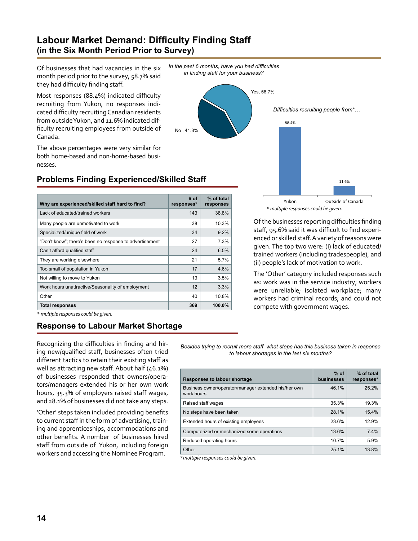### <span id="page-13-0"></span>**Labour Market Demand: Difficulty Finding Staff (in the Six Month Period Prior to Survey)**

Of businesses that had vacancies in the six month period prior to the survey, 58.7% said they had difficulty finding staff.

Most responses (88.4%) indicated difficulty recruiting from Yukon, no responses indicated difficulty recruiting Canadian residents from outside Yukon, and 11.6% indicated difficulty recruiting employees from outside of Canada.

The above percentages were very similar for both home-based and non-home-based businesses.

#### **Problems Finding Experienced/Skilled Staff**

| Why are experienced/skilled staff hard to find?         | # of<br>responses* | % of total<br>responses |
|---------------------------------------------------------|--------------------|-------------------------|
| Lack of educated/trained workers                        | 143                | 38.8%                   |
| Many people are unmotivated to work                     | 38                 | 10.3%                   |
| Specialized/unique field of work                        | 34                 | 9.2%                    |
| "Don't know"; there's been no response to advertisement | 27                 | 7.3%                    |
| Can't afford qualified staff                            | 24                 | 6.5%                    |
| They are working elsewhere                              | 21                 | 5.7%                    |
| Too small of population in Yukon                        | 17                 | 4.6%                    |
| Not willing to move to Yukon                            | 13                 | 3.5%                    |
| Work hours unattractive/Seasonality of employment       | 12                 | 3.3%                    |
| Other                                                   | 40                 | 10.8%                   |
| <b>Total responses</b>                                  | 369                | 100.0%                  |

*\* multiple responses could be given.*

#### **Response to Labour Market Shortage**

Recognizing the difficulties in finding and hiring new/qualified staff, businesses often tried different tactics to retain their existing staff as well as attracting new staff. About half (46.1%) of businesses responded that owners/operators/managers extended his or her own work hours, 35.3% of employers raised staff wages, and 28.1% of businesses did not take any steps.

'Other' steps taken included providing benefits to current staff in the form of advertising, training and apprenticeships, accommodations and other benefits. A number of businesses hired staff from outside of Yukon, including foreign workers and accessing the Nominee Program.



No , 41.3%



Of the businesses reporting difficulties finding staff, 95.6% said it was difficult to find experienced or skilled staff. A variety of reasons were given. The top two were: (i) lack of educated/ trained workers (including tradespeople), and (ii) people's lack of motivation to work.

The 'Other' category included responses such as: work was in the service industry; workers were unreliable; isolated workplace; many workers had criminal records; and could not compete with government wages.

*Besides trying to recruit more staff, what steps has this business taken in response to labour shortages in the last six months?*

| <b>Responses to labour shortage</b>                                | $%$ of<br>businesses | % of total<br>responses* |
|--------------------------------------------------------------------|----------------------|--------------------------|
| Business owner/operator/manager extended his/her own<br>work hours | 46.1%                | 25.2%                    |
| Raised staff wages                                                 | 35.3%                | 19.3%                    |
| No steps have been taken                                           | 28.1%                | 15.4%                    |
| Extended hours of existing employees                               | 23.6%                | 12.9%                    |
| Computerized or mechanized some operations                         | 13.6%                | 7.4%                     |
| Reduced operating hours                                            | 10.7%                | 5.9%                     |
| Other                                                              | 25.1%                | 13.8%                    |

*\*multiple responses could be given.*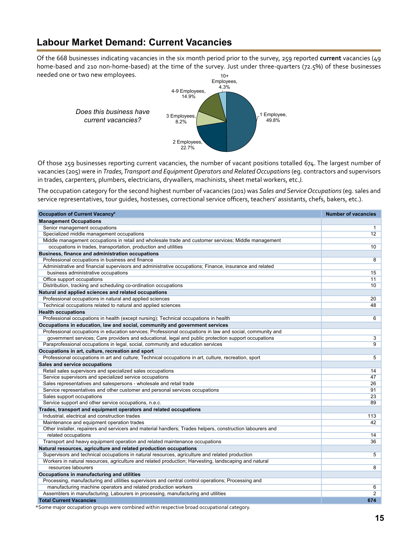## <span id="page-14-0"></span>**Labour Market Demand: Current Vacancies**

10+ Of the 668 businesses indicating vacancies in the six month period prior to the survey, 259 reported **current** vacancies (49 home-based and 210 non-home-based) at the time of the survey. Just under three-quarters (72.5%) of these businesses needed one or two new employees.



Of those 259 businesses reporting current vacancies, the number of vacant positions totalled 674. The largest number of vacancies (205) were in *Trades, Transport and Equipment Operators and Related Occupations* (eg. contractors and supervisors in trades, carpenters, plumbers, electricians, drywallers, machinists, sheet metal workers, etc*.).*

The occupation category for the second highest number of vacancies (201) was *Sales and Service Occupations* (eg. sales and service representatives, tour guides, hostesses, correctional service officers, teachers' assistants, chefs, bakers, etc.).

| Occupation of Current Vacancy*                                                                             | <b>Number of vacancies</b> |
|------------------------------------------------------------------------------------------------------------|----------------------------|
| <b>Management Occupations</b>                                                                              |                            |
| Senior management occupations                                                                              | $\mathbf 1$                |
| Specialized middle management occupations                                                                  | 12 <sup>2</sup>            |
| Middle management occupations in retail and wholesale trade and customer services; Middle management       |                            |
| occupations in trades, transportation, production and utilities                                            | 10                         |
| Business, finance and administration occupations                                                           |                            |
| Professional occupations in business and finance                                                           | 8                          |
| Administrative and financial supervisors and administrative occupations; Finance, insurance and related    |                            |
| business administrative occupations                                                                        | 15                         |
| Office support occupations                                                                                 | 11                         |
| Distribution, tracking and scheduling co-ordination occupations                                            | 10                         |
| Natural and applied sciences and related occupations                                                       |                            |
| Professional occupations in natural and applied sciences                                                   | 20                         |
| Technical occupations related to natural and applied sciences                                              | 48                         |
| <b>Health occupations</b>                                                                                  |                            |
| Professional occupations in health (except nursing); Technical occupations in health                       | 6                          |
| Occupations in education, law and social, community and government services                                |                            |
| Professional occupations in education services; Professional occupations in law and social, community and  |                            |
| government services; Care providers and educational, legal and public protection support occupations       | 3                          |
| Paraprofessional occupations in legal, social, community and education services                            | $\overline{9}$             |
| Occupations in art, culture, recreation and sport                                                          |                            |
| Professional occupations in art and culture; Technical occupations in art, culture, recreation, sport      | $\overline{5}$             |
| Sales and service occupations                                                                              |                            |
| Retail sales supervisors and specialized sales occupations                                                 | 14                         |
| Service supervisors and specialized service occupations                                                    | 47                         |
| Sales representatives and salespersons - wholesale and retail trade                                        | 26                         |
| Service representatives and other customer and personal services occupations                               | 91                         |
| Sales support occupations                                                                                  | 23                         |
| Service support and other service occupations, n.e.c.                                                      | 89                         |
| Trades, transport and equipment operators and related occupations                                          |                            |
| Industrial, electrical and construction trades                                                             | 113                        |
| Maintenance and equipment operation trades                                                                 | 42                         |
| Other installer, repairers and servicers and material handlers; Trades helpers, construction labourers and |                            |
| related occupations                                                                                        | 14                         |
| Transport and heavy equipment operation and related maintenance occupations                                | 36                         |
| Natural resources, agriculture and related production occupations                                          |                            |
| Supervisors and technical occupations in natural resources, agriculture and related production             | 5                          |
| Workers in natural resources, agriculture and related production; Harvesting, landscaping and natural      |                            |
| resources labourers                                                                                        | $\overline{8}$             |
| Occupations in manufacturing and utilities                                                                 |                            |
| Processing, manufacturing and utilities supervisors and central control operations; Processing and         |                            |
| manufacturing machine operators and related production workers                                             | 6                          |
| Assemblers in manufacturing; Labourers in processing, manufacturing and utilities                          | $\overline{2}$             |
| <b>Total Current Vacancies</b>                                                                             | 674                        |

\*Some major occupation groups were combined within respective broad occupational category.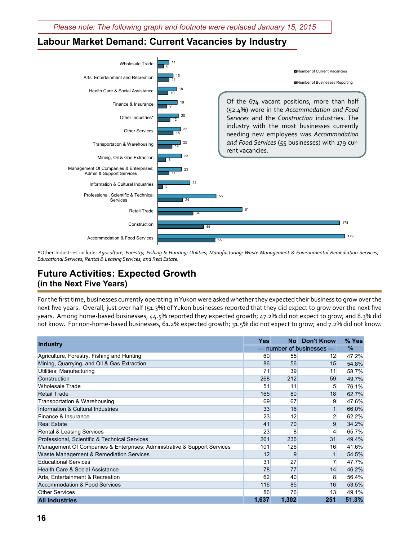*Please note: The following graph and footnote were replaced January 15, 2015*

### <span id="page-15-0"></span>**Labour Market Demand: Current Vacancies by Industry**



*\**Other Industries include: *Agriculture, Forestry, Fishing & Hunting; Utilities; Manufacturing; Waste Management & Environmental Remediation Services; Educational Services; Rental & Leasing Services; and Real Estate.* 

## **Future Activities: Expected Growth (in the Next Five Years)**

For the first time, businesses currently operating in Yukon were asked whether they expected their business to grow over the next five years. Overall, just over half (51.3%) of Yukon businesses reported that they did expect to grow over the next five years. Among home-based businesses, 44.5% reported they expected growth; 47.2% did not expect to grow; and 8.3% did not know. For non-home-based businesses, 61.2% expected growth; 31.5% did not expect to grow; and 7.2% did not know.

| <b>Industry</b>                                                          | <b>Yes</b> |       | No Don't Know                | % Yes |
|--------------------------------------------------------------------------|------------|-------|------------------------------|-------|
|                                                                          |            |       | --- number of businesses --- | %     |
| Agriculture, Forestry, Fishing and Hunting                               | 60         | 55    | 12                           | 47.2% |
| Mining, Quarrying, and Oil & Gas Extraction                              | 86         | 56    | 15                           | 54.8% |
| Utilities; Manufacturing                                                 | 71         | 39    | 11                           | 58.7% |
| Construction                                                             | 268        | 212   | 59                           | 49.7% |
| <b>Wholesale Trade</b>                                                   | 51         | 11    | $5\overline{)}$              | 76.1% |
| <b>Retail Trade</b>                                                      | 165        | 80    | 18                           | 62.7% |
| Transportation & Warehousing                                             | 69         | 67    | 9                            | 47.6% |
| Information & Cultural Industries                                        | 33         | 16    |                              | 66.0% |
| Finance & Insurance                                                      | 23         | 12    | $\overline{2}$               | 62.2% |
| <b>Real Estate</b>                                                       | 41         | 70    | 9                            | 34.2% |
| <b>Rental &amp; Leasing Services</b>                                     | 23         | 8     | 4                            | 65.7% |
| Professional, Scientific & Technical Services                            | 261        | 236   | 31                           | 49.4% |
| Management Of Companies & Enterprises; Administrative & Support Services | 101        | 126   | 16                           | 41.6% |
| Waste Management & Remediation Services                                  | 12         | 9     | 1                            | 54.5% |
| <b>Educational Services</b>                                              | 31         | 27    | 7                            | 47.7% |
| Health Care & Social Assistance                                          | 78         | 77    | 14                           | 46.2% |
| Arts, Entertainment & Recreation                                         | 62         | 40    | 8                            | 56.4% |
| <b>Accommodation &amp; Food Services</b>                                 | 116        | 85    | 16                           | 53.5% |
| <b>Other Services</b>                                                    | 86         | 76    | 13                           | 49.1% |
| <b>All Industries</b>                                                    | 1,637      | 1,302 | 251                          | 51.3% |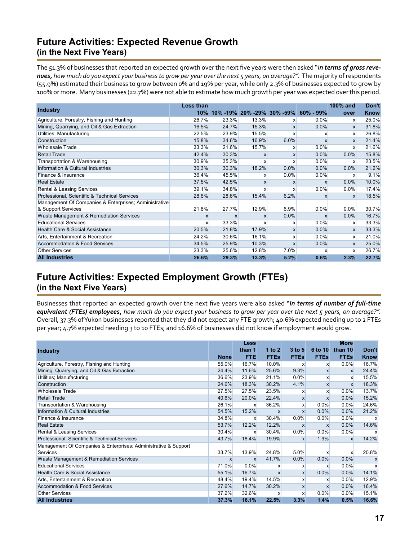## **Future Activities: Expected Revenue Growth (in the Next Five Years)**

The 51.3% of businesses that reported an expected growth over the next five years were then asked "*In terms of gross revenues, how much do you expect your business to grow per year over the next 5 years, on average?".* The majority of respondents (55.9%) estimated their business to grow between 0% and 19% per year, while only 2.3% of businesses expected to grow by 100% or more. Many businesses (22.7%) were not able to estimate how much growth per year was expected over this period.

|                                                       | Less than    |              |              |              |                                          | 100% and     | Don't       |
|-------------------------------------------------------|--------------|--------------|--------------|--------------|------------------------------------------|--------------|-------------|
| <b>Industry</b>                                       |              |              |              |              | 10% 10% -19% 20% -29% 30% -59% 60% - 99% | over         | <b>Know</b> |
| Agriculture, Forestry, Fishing and Hunting            | 26.7%        | 23.3%        | 13.3%        | X            | $0.0\%$                                  | X            | 25.0%       |
| Mining, Quarrying, and Oil & Gas Extraction           | 16.5%        | 24.7%        | 15.3%        | X            | 0.0%                                     | $\mathsf{x}$ | 31.8%       |
| Utilities; Manufacturing                              | 22.5%        | 23.9%        | 15.5%        | X            | x                                        | X            | 26.8%       |
| Construction                                          | 15.8%        | 34.6%        | 16.9%        | 6.0%         | $\mathbf{x}$                             | $\mathsf{x}$ | 21.4%       |
| <b>Wholesale Trade</b>                                | 33.3%        | 21.6%        | 15.7%        | X            | 0.0%                                     |              | 21.6%       |
| <b>Retail Trade</b>                                   | 42.4%        | 30.3%        | $\mathsf{x}$ | $\mathsf{x}$ | 0.0%                                     | $0.0\%$      | 15.8%       |
| Transportation & Warehousing                          | 30.9%        | 35.3%        | x            | X            | $0.0\%$                                  | X            | 23.5%       |
| Information & Cultural Industries                     | 30.3%        | 30.3%        | 18.2%        | 0.0%         | 0.0%                                     | 0.0%         | 21.2%       |
| Finance & Insurance                                   | 36.4%        | 45.5%        | X            | $0.0\%$      | $0.0\%$                                  | x            | 9.1%        |
| <b>Real Estate</b>                                    | 37.5%        | 42.5%        | $\mathbf{x}$ | $\mathbf{x}$ | $\boldsymbol{x}$                         | 0.0%         | 10.0%       |
| Rental & Leasing Services                             | 39.1%        | 34.8%        | X            |              | 0.0%                                     | $0.0\%$      | 17.4%       |
| Professional, Scientific & Technical Services         | 28.6%        | 28.6%        | 15.4%        | 6.2%         | X                                        | $\mathbf{x}$ | 18.5%       |
| Management Of Companies & Enterprises; Administrative |              |              |              |              |                                          |              |             |
| & Support Services                                    | 21.8%        | 27.7%        | 12.9%        | 6.9%         | $0.0\%$                                  | 0.0%         | 30.7%       |
| Waste Management & Remediation Services               | $\mathsf{x}$ | $\mathbf{x}$ | $\mathbf{x}$ | 0.0%         | $\mathbf{x}$                             | 0.0%         | 16.7%       |
| <b>Educational Services</b>                           | X            | 33.3%        | x            | X            | $0.0\%$                                  | X            | 33.3%       |
| Health Care & Social Assistance                       | 20.5%        | 21.8%        | 17.9%        | $\mathsf{x}$ | 0.0%                                     | $\mathsf{x}$ | 33.3%       |
| Arts, Entertainment & Recreation                      | 24.2%        | 30.6%        | 16.1%        | X            | 0.0%                                     | X            | 21.0%       |
| <b>Accommodation &amp; Food Services</b>              | 34.5%        | 25.9%        | 10.3%        | $\mathsf{x}$ | 0.0%                                     | $\mathsf{x}$ | 25.0%       |
| <b>Other Services</b>                                 | 23.3%        | 25.6%        | 12.8%        | 7.0%         | X                                        | X            | 26.7%       |
| <b>All Industries</b>                                 | 26.6%        | 29.3%        | 13.3%        | 5.2%         | 0.6%                                     | 2.3%         | 22.7%       |

## **Future Activities: Expected Employment Growth (FTEs) (in the Next Five Years)**

Businesses that reported an expected growth over the next five years were also asked "*In terms of number of full-time equivalent (FTEs) employees, how much do you expect your business to grow per year over the next 5 years, on average?".*  Overall, 37.3% of Yukon businesses reported that they did not expect any FTE growth; 40.6% expected needing up to 2 FTEs per year; 4.7% expected needing 3 to 10 FTEs; and 16.6% of businesses did not know if employment would grow.

|                                                                 |              | <b>Less</b>  |              |              |                  | <b>More</b>  |                  |
|-----------------------------------------------------------------|--------------|--------------|--------------|--------------|------------------|--------------|------------------|
| Industry                                                        |              | than 1       | 1 to $2$     | $3$ to $5$   | 6 to 10          | than 10      | Don't            |
|                                                                 | <b>None</b>  | <b>FTE</b>   | <b>FTEs</b>  | <b>FTEs</b>  | <b>FTEs</b>      | <b>FTEs</b>  | <b>Know</b>      |
| Agriculture, Forestry, Fishing and Hunting                      | 55.0%        | 16.7%        | 10.0%        | X            | X                | $0.0\%$      | 16.7%            |
| Mining, Quarrying, and Oil & Gas Extraction                     | 24.4%        | 11.6%        | 25.6%        | 9.3%         | $\mathsf{x}$     | $\mathsf{x}$ | 24.4%            |
| Utilities; Manufacturing                                        | 36.6%        | 23.9%        | 21.1%        | 0.0%         | $\mathsf{x}$     | $\mathsf{x}$ | 15.5%            |
| Construction                                                    | 24.6%        | 18.3%        | 30.2%        | 4.1%         | x                | x            | 18.3%            |
| <b>Wholesale Trade</b>                                          | 27.5%        | 27.5%        | 23.5%        | $\mathsf{x}$ | x                | $0.0\%$      | 13.7%            |
| <b>Retail Trade</b>                                             | 40.6%        | 20.0%        | 22.4%        | $\mathsf{x}$ | $\mathsf{x}$     | 0.0%         | 15.2%            |
| Transportation & Warehousing                                    | 26.1%        | X            | 36.2%        | $\mathsf{x}$ | 0.0%             | $0.0\%$      | 24.6%            |
| Information & Cultural Industries                               | 54.5%        | 15.2%        | $\mathsf{x}$ | $\mathsf{x}$ | 0.0%             | 0.0%         | 21.2%            |
| Finance & Insurance                                             | 34.8%        | X            | 30.4%        | 0.0%         | 0.0%             | 0.0%         | X                |
| <b>Real Estate</b>                                              | 53.7%        | 12.2%        | 12.2%        | $\mathsf{x}$ | $\boldsymbol{x}$ | 0.0%         | 14.6%            |
| Rental & Leasing Services                                       | 30.4%        | X            | 30.4%        | $0.0\%$      | 0.0%             | 0.0%         | X                |
| Professional, Scientific & Technical Services                   | 43.7%        | 18.4%        | 19.9%        | $\mathsf{x}$ | 1.9%             | $\mathsf{x}$ | 14.2%            |
| Management Of Companies & Enterprises; Administrative & Support |              |              |              |              |                  |              |                  |
| Services                                                        | 33.7%        | 13.9%        | 24.8%        | 5.0%         | X                | X            | 20.8%            |
| Waste Management & Remediation Services                         | $\mathbf{x}$ | $\mathsf{x}$ | 41.7%        | 0.0%         | 0.0%             | 0.0%         | $\boldsymbol{x}$ |
| <b>Educational Services</b>                                     | 71.0%        | 0.0%         | X            | X            | X                | $0.0\%$      | X                |
| Health Care & Social Assistance                                 | 55.1%        | 16.7%        | $\mathbf{x}$ | $\mathsf{x}$ | 0.0%             | 0.0%         | 14.1%            |
| Arts, Entertainment & Recreation                                | 48.4%        | 19.4%        | 14.5%        | $\mathsf{x}$ | x                | $0.0\%$      | 12.9%            |
| Accommodation & Food Services                                   | 27.6%        | 14.7%        | 30.2%        | $\mathsf{x}$ | $\mathsf{x}$     | 0.0%         | 16.4%            |
| <b>Other Services</b>                                           | 37.2%        | 32.6%        | $\mathsf{x}$ | $\mathsf{x}$ | 0.0%             | $0.0\%$      | 15.1%            |
| <b>All Industries</b>                                           | 37.3%        | 18.1%        | 22.5%        | 3.3%         | 1.4%             | 0.5%         | 16.6%            |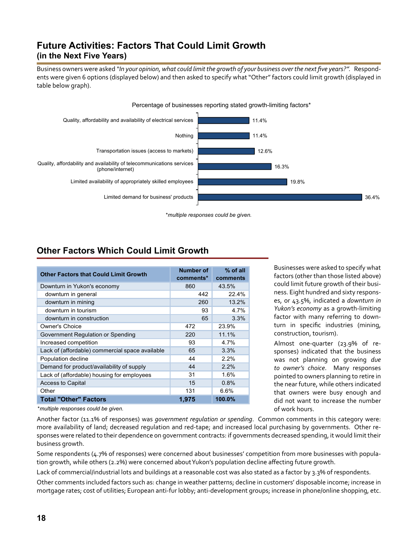## **Future Activities: Factors That Could Limit Growth (in the Next Five Years)**

Business owners were asked *"In your opinion, what could limit the growth of your business over the next five years?".* Respondents were given 6 options (displayed below) and then asked to specify what "Other" factors could limit growth (displayed in table below graph).



<sup>\*</sup>*multiple responses could be given.*

## **Other Factors Which Could Limit Growth**

| <b>Other Factors that Could Limit Growth</b>    | <b>Number of</b><br>comments* | % of all<br>comments |
|-------------------------------------------------|-------------------------------|----------------------|
| Downturn in Yukon's economy                     | 860                           | 43.5%                |
| downturn in general                             | 442                           | 22.4%                |
| downturn in mining                              | 260                           | 13.2%                |
| downturn in tourism                             | 93                            | 4.7%                 |
| downturn in construction                        | 65                            | 3.3%                 |
| Owner's Choice                                  | 472                           | 23.9%                |
| Government Regulation or Spending               | 220                           | 11.1%                |
| Increased competition                           | 93                            | 4.7%                 |
| Lack of (affordable) commercial space available | 65                            | 3.3%                 |
| Population decline                              | 44                            | $2.2\%$              |
| Demand for product/availability of supply       | 44                            | 2.2%                 |
| Lack of (affordable) housing for employees      | 31                            | 1.6%                 |
| <b>Access to Capital</b>                        | 15                            | 0.8%                 |
| Other                                           | 131                           | $6.6\%$              |
| <b>Total "Other" Factors</b>                    | 1,975                         | 100.0%               |

Businesses were asked to specify what factors (other than those listed above) could limit future growth of their business. Eight hundred and sixty responses, or 43.5%, indicated a *downturn in Yukon's economy* as a growth-limiting factor with many referring to downturn in specific industries (mining, construction, tourism).

Almost one-quarter (23.9% of responses) indicated that the business was not planning on growing *due to owner's choice*. Many responses pointed to owners planning to retire in the near future, while others indicated that owners were busy enough and did not want to increase the number of work hours.

\**multiple responses could be given.*

Another factor (11.1% of responses) was *government regulation or spending*. Common comments in this category were: more availability of land; decreased regulation and red-tape; and increased local purchasing by governments. Other responses were related to their dependence on government contracts: if governments decreased spending, it would limit their business growth.

Some respondents (4.7% of responses) were concerned about businesses' competition from more businesses with population growth, while others (2.2%) were concerned about Yukon's population decline affecting future growth.

Lack of commercial/industrial lots and buildings at a reasonable cost was also stated as a factor by 3.3% of respondents.

Other comments included factors such as: change in weather patterns; decline in customers' disposable income; increase in mortgage rates; cost of utilities; European anti-fur lobby; anti-development groups; increase in phone/online shopping, etc.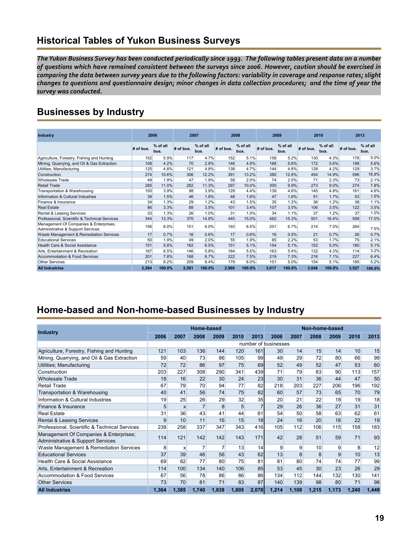## **Historical Tables of Yukon Business Surveys**

*The Yukon Business Survey has been conducted periodically since 1993. The following tables present data on a number of questions which have remained consistent between the surveys since 2006. However, caution should be exercised in comparing the data between survey years due to the following factors: variability in coverage and response rates; slight changes to questions and questionnaire design; minor changes in data collection procedures; and the time of year the survey was conducted.*

## **Businesses by Industry**

| <b>Industry</b>                                                             |             | 2006               | 2007      |                    | 2008      |                    | 2009      |                    | 2010      |                    | 2013      |                    |
|-----------------------------------------------------------------------------|-------------|--------------------|-----------|--------------------|-----------|--------------------|-----------|--------------------|-----------|--------------------|-----------|--------------------|
|                                                                             | $#$ of bus. | $%$ of all<br>bus. | # of bus. | $%$ of all<br>bus. | # of bus. | $%$ of all<br>bus. | # of bus. | $%$ of all<br>bus. | # of bus. | $%$ of all<br>bus. | # of bus. | $%$ of all<br>bus. |
| Agriculture, Forestry, Fishing and Hunting                                  | 152         | 5.9%               | 117       | 4.7%               | 152       | 5.1%               | 158       | 5.2%               | 130       | 4.3%               | 176       | 5.0%               |
| Mining, Quarrying, and Oil & Gas Extraction                                 | 108         | 4.2%               | 70        | 2.8%               | 146       | 4.9%               | 168       | 5.6%               | 172       | 5.6%               | 198       | 5.6%               |
| Utilities; Manufacturing                                                    | 125         | 4.8%               | 121       | 4.8%               | 138       | 4.7%               | 144       | 4.8%               | 128       | 4.2%               | 129       | 3.7%               |
| Construction                                                                | 274         | 10.6%              | 306       | 12.2%              | 391       | 13.2%              | 380       | 12.6%              | 454       | 14.9%              | 596       | 16.9%              |
| <b>Wholesale Trade</b>                                                      | 49          | 1.9%               | 47        | 1.9%               | 58        | 2.0%               | 74        | 2.5%               | 71        | 2.3%               | 73        | 2.1%               |
| <b>Retail Trade</b>                                                         | 285         | 11.0%              | 282       | 11.3%              | 297       | 10.0%              | 300       | 9.9%               | 273       | 9.0%               | 274       | 7.8%               |
| Transportation & Warehousing                                                | 100         | 3.9%               | 98        | 3.9%               | 129       | 4.4%               | 139       | 4.6%               | 145       | 4.8%               | 161       | 4.6%               |
| Information & Cultural Industries                                           | 39          | 1.5%               | 46        | 1.8%               | 48        | 1.6%               | 47        | 1.6%               | 51        | 1.7%               | 53        | 1.5%               |
| Finance & Insurance                                                         | 34          | 1.3%               | 29        | 1.2%               | 43        | 1.5%               | 35        | 1.2%               | 36        | 1.2%               | 38        | 1.1%               |
| <b>Real Estate</b>                                                          | 86          | 3.3%               | 88        | 3.5%               | 101       | 3.4%               | 107       | 3.5%               | 106       | 3.5%               | 122       | 3.5%               |
| Rental & Leasing Services                                                   | 33          | 1.3%               | 26        | 1.0%               | 31        | 1.0%               | 34        | 1.1%               | 37        | 1.2%               | 37        | 1.0%               |
| Professional, Scientific & Technical Services                               | 344         | 13.3%              | 370       | 14.8%              | 445       | 15.0%              | 462       | 15.3%              | 501       | 16.4%              | 599       | 17.0%              |
| Management Of Companies & Enterprises;<br>Administrative & Support Services | 156         | 6.0%               | 151       | 6.0%               | 193       | 6.5%               | 201       | 6.7%               | 214       | 7.0%               | 264       | 7.5%               |
| Waste Management & Remediation Services                                     | 17          | 0.7%               | 16        | 0.6%               | 17        | 0.6%               | 16        | 0.5%               | 21        | 0.7%               | 26        | 0.7%               |
| <b>Educational Services</b>                                                 | 50          | 1.9%               | 49        | 2.0%               | 55        | 1.9%               | 65        | 2.2%               | 53        | 1.7%               | 75        | 2.1%               |
| Health Care & Social Assistance                                             | 151         | 5.8%               | 162       | 6.5%               | 151       | 5.1%               | 154       | 5.1%               | 152       | 5.0%               | 180       | 5.1%               |
| Arts. Entertainment & Recreation                                            | 167         | 6.5%               | 146       | 5.8%               | 164       | 5.5%               | 163       | 5.4%               | 132       | 4.3%               | 114       | 3.2%               |
| Accommodation & Food Services                                               | 201         | 7.8%               | 168       | 6.7%               | 222       | 7.5%               | 219       | 7.3%               | 216       | 7.1%               | 227       | 6.4%               |
| <b>Other Services</b>                                                       | 213         | 8.2%               | 209       | 8.4%               | 179       | 6.0%               | 151       | 5.0%               | 154       | 5.1%               | 185       | 5.2%               |
| <b>All Industries</b>                                                       | 2.584       | 100.0%             | 2.501     | 100.0%             | 2.960     | 100.0%             | 3,017     | 100.0%             | 3.046     | 100.0%             | 3,527     | 100.0%             |

## **Home-based and Non-home-based Businesses by Industry**

|                                                                             |       |              | Home-based |                |       |       |                      |       | Non-home-based |       |       |       |
|-----------------------------------------------------------------------------|-------|--------------|------------|----------------|-------|-------|----------------------|-------|----------------|-------|-------|-------|
| <b>Industry</b>                                                             | 2006  | 2007         | 2008       | 2009           | 2010  | 2013  | 2006                 | 2007  | 2008           | 2009  | 2010  | 2013  |
|                                                                             |       |              |            |                |       |       | number of businesses |       |                |       |       |       |
| Agriculture, Forestry, Fishing and Hunting                                  | 121   | 103          | 136        | 144            | 120   | 161   | 30                   | 14    | 15             | 14    | 10    | 15    |
| Mining, Quarrying, and Oil & Gas Extraction                                 | 59    | 40           | 73         | 86             | 105   | 99    | 49                   | 29    | 72             | 80    | 66    | 99    |
| Utilities; Manufacturing                                                    | 72    | 72           | 86         | 97             | 75    | 69    | 52                   | 49    | 52             | 47    | 53    | 60    |
| Construction                                                                | 203   | 227          | 308        | 290            | 341   | 439   | 71                   | 79    | 83             | 90    | 113   | 157   |
| <b>Wholesale Trade</b>                                                      | 18    | 16           | 22         | 30             | 24    | 23    | 30                   | 31    | 36             | 44    | 47    | 50    |
| Retail Trade                                                                | 67    | 79           | 70         | 94             | 77    | 82    | 218                  | 203   | 227            | 206   | 196   | 192   |
| Transportation & Warehousing                                                | 40    | 41           | 56         | 74             | 75    | 82    | 60                   | 57    | 73             | 65    | 70    | 79    |
| Information & Cultural Industries                                           | 19    | 25           | 26         | 29             | 32    | 35    | 20                   | 21    | 22             | 18    | 19    | 18    |
| Finance & Insurance                                                         | 5     | $\mathbf{x}$ |            | 8              | 5     |       | 29                   | 26    | 36             | 27    | 31    | 31    |
| <b>Real Estate</b>                                                          | 31    | 36           | 43         | 41             | 44    | 61    | 54                   | 50    | 58             | 63    | 62    | 61    |
| Rental & Leasing Services                                                   | 9     | 10           | 11         | 16             | 15    | 18    | 24                   | 16    | 20             | 18    | 22    | 19    |
| Professional, Scientific & Technical Services                               | 238   | 258          | 337        | 347            | 343   | 416   | 105                  | 112   | 106            | 115   | 158   | 183   |
| Management Of Companies & Enterprises;<br>Administrative & Support Services | 114   | 121          | 142        | 142            | 143   | 171   | 42                   | 28    | 51             | 59    | 71    | 93    |
| Waste Management & Remediation Services                                     | 8     | X            | 7          | $\overline{7}$ | 13    | 14    | 9                    | 9     | 10             | 9     | 8     | 12    |
| <b>Educational Services</b>                                                 | 37    | 39           | 46         | 56             | 43    | 62    | 13                   | 8     | 8              | 9     | 10    | 13    |
| Health Care & Social Assistance                                             | 69    | 82           | 77         | 80             | 75    | 81    | 81                   | 80    | 74             | 74    | 77    | 99    |
| Arts, Entertainment & Recreation                                            | 114   | 100          | 134        | 140            | 106   | 85    | 53                   | 45    | 30             | 23    | 26    | 29    |
| Accommodation & Food Services                                               | 67    | 56           | 78         | 86             | 86    | 86    | 134                  | 112   | 144            | 132   | 130   | 141   |
| <b>Other Services</b>                                                       | 73    | 70           | 81         | 71             | 83    | 87    | 140                  | 139   | 98             | 80    | 71    | 98    |
| <b>All Industries</b>                                                       | 1,364 | 1,385        | 1,740      | 1,838          | 1,805 | 2,078 | 1,214                | 1,108 | 1,215          | 1,173 | 1,240 | 1,449 |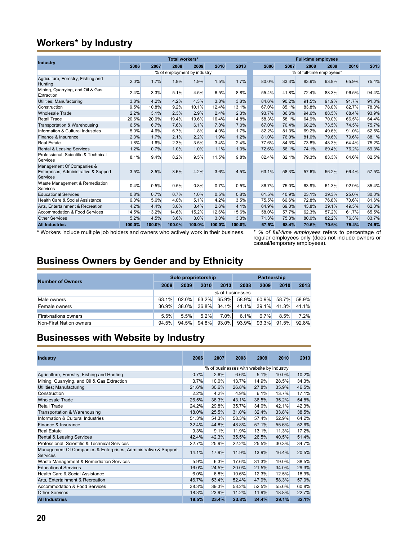## **Workers\* by Industry**

|                                                                                |        |        |                        | <b>Full-time employees</b>  |        |        |       |       |       |                           |       |       |
|--------------------------------------------------------------------------------|--------|--------|------------------------|-----------------------------|--------|--------|-------|-------|-------|---------------------------|-------|-------|
| <b>Industry</b>                                                                | 2006   | 2007   | Total workers*<br>2008 | 2009                        | 2010   | 2013   | 2006  | 2007  | 2008  | 2009                      | 2010  | 2013  |
|                                                                                |        |        |                        | % of employment by industry |        |        |       |       |       | % of full-time employees* |       |       |
| Agriculture, Forestry, Fishing and<br>Hunting                                  | 2.0%   | 1.7%   | 1.9%                   | 1.9%                        | 1.5%   | 1.7%   | 80.0% | 33.3% | 83.9% | 93.9%                     | 65.9% | 75.4% |
| Mining, Quarrying, and Oil & Gas<br>Extraction                                 | 2.4%   | 3.3%   | 5.1%                   | 4.5%                        | 6.5%   | 8.8%   | 55.4% | 41.8% | 72.4% | 88.3%                     | 96.5% | 94.4% |
| Utilities; Manufacturing                                                       | 3.8%   | 4.2%   | 4.2%                   | 4.3%                        | 3.8%   | 3.8%   | 84.6% | 90.2% | 91.5% | 91.9%                     | 91.7% | 91.0% |
| Construction                                                                   | 9.5%   | 10.8%  | 9.2%                   | 10.1%                       | 12.4%  | 13.1%  | 67.0% | 85.1% | 83.8% | 78.0%                     | 82.7% | 78.3% |
| <b>Wholesale Trade</b>                                                         | 2.2%   | 3.1%   | 2.3%                   | 2.9%                        | 2.4%   | 2.3%   | 93.7% | 86.6% | 94.6% | 88.5%                     | 88.4% | 93.9% |
| <b>Retail Trade</b>                                                            | 20.6%  | 20.0%  | 19.4%                  | 19.6%                       | 16.4%  | 14.8%  | 58.3% | 58.1% | 64.9% | 70.0%                     | 66.5% | 64.4% |
| Transportation & Warehousing                                                   | 6.5%   | 6.7%   | 7.6%                   | 6.1%                        | 7.8%   | 7.0%   | 67.0% | 70.4% | 68.2% | 73.5%                     | 74.5% | 75.7% |
| Information & Cultural Industries                                              | 5.0%   | 4.6%   | 6.7%                   | 1.8%                        | 4.0%   | 1.7%   | 82.2% | 81.3% | 69.2% | 49.6%                     | 91.0% | 62.5% |
| Finance & Insurance                                                            | 2.3%   | 1.7%   | 2.1%                   | 2.2%                        | 1.9%   | 1.2%   | 81.0% | 76.0% | 81.0% | 79.6%                     | 79.6% | 88.1% |
| <b>Real Estate</b>                                                             | 1.8%   | 1.6%   | 2.3%                   | 3.5%                        | 3.4%   | 2.4%   | 77.6% | 84.3% | 73.8% | 48.3%                     | 64.4% | 75.2% |
| Rental & Leasing Services                                                      | 1.2%   | 0.7%   | 1.0%                   | 1.0%                        | 1.1%   | 1.0%   | 72.6% | 56.1% | 74.1% | 69.4%                     | 76.2% | 69.3% |
| Professional, Scientific & Technical<br>Services                               | 8.1%   | 9.4%   | 8.2%                   | 9.5%                        | 11.5%  | 9.8%   | 82.4% | 82.1% | 79.3% | 83.3%                     | 84.6% | 82.5% |
| Management Of Companies &<br>Enterprises; Administrative & Support<br>Services | 3.5%   | 3.5%   | 3.6%                   | 4.2%                        | 3.6%   | 4.5%   | 63.1% | 58.3% | 57.6% | 56.2%                     | 66.4% | 57.5% |
| Waste Management & Remediation<br>Services                                     | 0.4%   | 0.5%   | 0.5%                   | 0.8%                        | 0.7%   | 0.5%   | 86.7% | 75.0% | 63.9% | 61.3%                     | 92.9% | 85.4% |
| <b>Educational Services</b>                                                    | 0.8%   | 0.7%   | 0.7%                   | 1.0%                        | 0.5%   | 0.8%   | 61.5% | 40.9% | 23.1% | 39.3%                     | 25.0% | 30.0% |
| Health Care & Social Assistance                                                | 6.0%   | 5.6%   | 4.0%                   | 5.1%                        | 4.2%   | 3.5%   | 75.5% | 66.6% | 72.8% | 76.8%                     | 70.6% | 81.6% |
| Arts, Entertainment & Recreation                                               | 4.2%   | 4.4%   | 3.0%                   | 3.4%                        | 2.6%   | 4.1%   | 64.9% | 69.0% | 43.8% | 39.1%                     | 49.5% | 62.3% |
| Accommodation & Food Services                                                  | 14.5%  | 13.2%  | 14.6%                  | 15.2%                       | 12.6%  | 15.6%  | 58.0% | 57.7% | 62.3% | 57.2%                     | 61.7% | 65.5% |
| <b>Other Services</b>                                                          | 5.2%   | 4.5%   | 3.6%                   | 3.0%                        | 3.0%   | 3.3%   | 71.3% | 75.3% | 80.0% | 82.2%                     | 76.3% | 83.7% |
| <b>All Industries</b>                                                          | 100.0% | 100.0% | 100.0%                 | 100.0%                      | 100.0% | 100.0% | 67.5% | 68.4% | 70.6% | 70.6%                     | 75.4% | 74.5% |

**\*** Workers include multiple job holders and owners who actively work in their business.

\* *% of full-time employees* refers to percentage of regular employees only (does not include owners or casual/temporary employees).

## **Business Owners by Gender and by Ethnicity**

| <b>Number of Owners</b> |                 |       | Sole proprietorship |       | Partnership |       |       |       |  |  |
|-------------------------|-----------------|-------|---------------------|-------|-------------|-------|-------|-------|--|--|
|                         | 2008            | 2009  | 2010                | 2013  | 2008        | 2009  | 2010  | 2013  |  |  |
|                         | % of businesses |       |                     |       |             |       |       |       |  |  |
| Male owners             | 63.1%           | 62.0% | 63.2%               | 65.9% | 58.9%       | 60.9% | 58.7% | 58.9% |  |  |
| Female owners           | 36.9%           | 38.0% | 36.8%               | 34.1% | 41.1%       | 39.1% | 41.3% | 41.1% |  |  |
|                         |                 |       |                     |       |             |       |       |       |  |  |
| First-nations owners    | 5.5%            | 5.5%  | 5.2%                | 7.0%  | 6.1%        | 6.7%  | 8.5%  | 7.2%  |  |  |
| Non-First Nation owners | 94.5%           | 94.5% | 94.8%               | 93.0% | 93.9%       | 93.3% | 91.5% | 92.8% |  |  |

## **Businesses with Website by Industry**

| <b>Industry</b>                                                                    | 2006  | 2007                                     | 2008  | 2009  | 2010  | 2013  |
|------------------------------------------------------------------------------------|-------|------------------------------------------|-------|-------|-------|-------|
|                                                                                    |       | % of businesses with website by industry |       |       |       |       |
| Agriculture, Forestry, Fishing and Hunting                                         | 0.7%  | 2.6%                                     | 6.6%  | 5.1%  | 10.0% | 10.2% |
| Mining, Quarrying, and Oil & Gas Extraction                                        | 3.7%  | 10.0%                                    | 13.7% | 14.9% | 28.5% | 34.3% |
| Utilities; Manufacturing                                                           | 21.6% | 30.6%                                    | 26.8% | 27.8% | 35.9% | 46.5% |
| Construction                                                                       | 2.2%  | 4.2%                                     | 4.9%  | 6.1%  | 13.7% | 17.1% |
| <b>Wholesale Trade</b>                                                             | 26.5% | 38.3%                                    | 43.1% | 36.5% | 35.2% | 54.8% |
| <b>Retail Trade</b>                                                                | 24.2% | 29.8%                                    | 35.7% | 34.0% | 42.1% | 42.3% |
| Transportation & Warehousing                                                       | 18.0% | 25.5%                                    | 31.0% | 32.4% | 33.8% | 38.5% |
| Information & Cultural Industries                                                  | 51.3% | 54.3%                                    | 58.3% | 57.4% | 52.9% | 64.2% |
| Finance & Insurance                                                                | 32.4% | 44.8%                                    | 48.8% | 57.1% | 55.6% | 52.6% |
| <b>Real Estate</b>                                                                 | 9.3%  | 9.1%                                     | 11.9% | 13.1% | 11.3% | 17.2% |
| <b>Rental &amp; Leasing Services</b>                                               | 42.4% | 42.3%                                    | 35.5% | 26.5% | 40.5% | 51.4% |
| Professional, Scientific & Technical Services                                      | 22.7% | 25.9%                                    | 22.2% | 25.5% | 30.3% | 34.7% |
| Management Of Companies & Enterprises; Administrative & Support<br><b>Services</b> | 14.1% | 17.9%                                    | 11.9% | 13.9% | 16.4% | 20.5% |
| Waste Management & Remediation Services                                            | 5.9%  | 6.3%                                     | 17.6% | 31.3% | 19.0% | 38.5% |
| <b>Educational Services</b>                                                        | 16.0% | 24.5%                                    | 20.0% | 21.5% | 34.0% | 29.3% |
| Health Care & Social Assistance                                                    | 6.0%  | 6.8%                                     | 10.6% | 12.3% | 12.5% | 18.9% |
| Arts, Entertainment & Recreation                                                   | 46.7% | 53.4%                                    | 52.4% | 47.9% | 58.3% | 57.0% |
| Accommodation & Food Services                                                      | 38.3% | 39.3%                                    | 53.2% | 52.5% | 55.6% | 60.8% |
| <b>Other Services</b>                                                              | 18.3% | 23.9%                                    | 11.2% | 11.9% | 18.8% | 22.7% |
| <b>All Industries</b>                                                              | 19.5% | 23.4%                                    | 23.8% | 24.4% | 29.1% | 32.1% |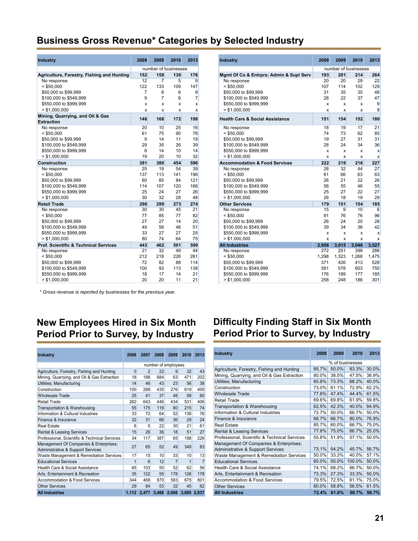## **Business Gross Revenue\* Categories by Selected Industry**

| <b>Industry</b>                                       | 2008           | 2009           | 2010                 | 2013           | <b>Industry</b>                            | 2008  | 2009                 | 2010                      | 2013            |
|-------------------------------------------------------|----------------|----------------|----------------------|----------------|--------------------------------------------|-------|----------------------|---------------------------|-----------------|
|                                                       |                |                | number of businesses |                |                                            |       | number of businesses |                           |                 |
| Agriculture, Forestry, Fishing and Hunting            | 152            | 158            | 130                  | 176            | Mgmt Of Co & Entrprs; Admin & Supl Serv    | 193   | 201                  | 214                       | 264             |
| No response                                           | 12             | $\overline{7}$ | 5                    | 9              | No response                                | 20    | 20                   | 29                        | $\overline{22}$ |
| $<$ \$50,000                                          | 122            | 133            | 109                  | 147            | $<$ \$50.000                               | 107   | 114                  | 102                       | 129             |
| \$50,000 to \$99,999                                  | $\overline{7}$ | 8              | 6                    | 9              | \$50,000 to \$99,999                       | 31    | 35                   | 35                        | 48              |
| \$100,000 to \$549,999                                | 9              | $\overline{7}$ | 6                    | $\overline{7}$ | \$100,000 to \$549,999                     | 28    | 22                   | 37                        | 47              |
| \$550,000 to \$999,999                                | х              | x              | x                    | x              | \$550,000 to \$999,999                     | x     | x                    | х                         | 9               |
| > \$1,000,000                                         | X              | x              | x                    | X              | > \$1,000,000                              | X     | x                    | x                         | 9               |
| Mining, Quarrying, and Oil & Gas<br><b>Extraction</b> | 146            | 168            | 172                  | 198            | <b>Health Care &amp; Social Assistance</b> | 151   | 154                  | 152                       | 180             |
| No response                                           | 20             | 10             | 25                   | 16             | No response                                | 18    | 19                   | 17                        | 21              |
| $<$ \$50,000                                          | 61             | 75             | 90                   | 78             | $<$ \$50,000                               | 74    | 73                   | 62                        | 85              |
| \$50,000 to \$99,999                                  | 9              | 14             | 11                   | 19             | \$50,000 to \$99,999                       | 19    | 27                   | 31                        | 31              |
| \$100,000 to \$549,999                                | 29             | 35             | 26                   | 39             | \$100,000 to \$549.999                     | 28    | 24                   | 34                        | 36              |
| \$550,000 to \$999,999                                | 8              | 14             | 10                   | 14             | \$550,000 to \$999,999                     | X     | X                    | X                         | X               |
| > \$1,000,000                                         | 19             | 20             | 10                   | 32             | > \$1.000.000                              | X     | X                    | $\boldsymbol{\mathsf{x}}$ | X               |
| <b>Construction</b>                                   | 391            | 380            | 454                  | 596            | <b>Accommodation &amp; Food Services</b>   | 222   | 219                  | 216                       | 227             |
| No response                                           | 25             | 19             | 54                   | 39             | No response                                | 28    | 32                   | 44                        | 27              |
| $<$ \$50,000                                          | 137            | 113            | 141                  | 196            | $<$ \$50.000                               | 61    | 66                   | 63                        | 63              |
| \$50,000 to \$99,999                                  | 60             | 85             | 84                   | 121            | \$50,000 to \$99,999                       | 26    | 21                   | 22                        | 26              |
| \$100,000 to \$549,999                                | 114            | 107            | 120                  | 166            | \$100,000 to \$549,999                     | 56    | 55                   | 46                        | 55              |
| \$550,000 to \$999,999                                | 25             | 24             | 27                   | 26             | \$550,000 to \$999,999                     | 25    | 27                   | 22                        | 27              |
| > \$1,000,000                                         | 30             | 32             | 28                   | 48             | > \$1.000.000                              | 26    | 18                   | 19                        | 29              |
| <b>Retail Trade</b>                                   | 296            | 299            | 273                  | 274            | <b>Other Services</b>                      | 179   | 151                  | 154                       | 185             |
| No response                                           | 30             | 30             | 45                   | 21             | No response                                | 15    | 9                    | 10                        | 6               |
| $<$ \$50,000                                          | 77             | 85             | 77                   | 82             | $<$ \$50.000                               | 91    | 76                   | 76                        | 96              |
| \$50,000 to \$99,999                                  | 27             | 27             | 14                   | 20             | \$50,000 to \$99,999                       | 26    | 24                   | 20                        | 28              |
| \$100,000 to \$549,999                                | 49             | 56             | 46                   | 51             | \$100,000 to \$549,999                     | 39    | 34                   | 36                        | 42              |
| \$550,000 to \$999,999                                | 33             | 27             | 27                   | 25             | \$550,000 to \$999,999                     | X     | x                    | X                         | X               |
| > \$1.000.000                                         | 80             | 74             | 64                   | 75             | > \$1.000.000                              | X     | x                    | X                         | X               |
| <b>Prof. Scientific &amp; Technical Services</b>      | 443            | 462            | 501                  | 599            | <b>All Industries</b>                      | 2.956 | 3,015                | 3,046                     | 3,527           |
| No response                                           | 21             | 32             | 49                   | 44             | No response                                | 272   | 251                  | 399                       | 288             |
| $<$ \$50,000                                          | 212            | 218            | 226                  | 261            | $<$ \$50,000                               | 1,298 | 1,323                | 1,268                     | 1,475           |
| \$50,000 to \$99,999                                  | 72             | 82             | 88                   | 114            | \$50,000 to \$99,999                       | 371   | 426                  | 413                       | 528             |
| \$100,000 to \$549,999                                | 100            | 93             | 113                  | 138            | \$100,000 to \$549,999                     | 581   | 578                  | 603                       | 750             |
| \$550,000 to \$999,999                                | 18             | 17             | 14                   | 21             | \$550,000 to \$999,999                     | 176   | 189                  | 177                       | 185             |
| > \$1,000,000                                         | 20             | 20             | 11                   | 21             | > \$1,000,000                              | 258   | 248                  | 186                       | 301             |

*\* Gross revenue is reported by businesses for the previous year.*

## **New Employees Hired in Six Month Period Prior to Survey, by Industry**

| <b>Industry</b>                                                             | 2006     | 2007           | 2008                | 2009           | 2010        | 2013           |
|-----------------------------------------------------------------------------|----------|----------------|---------------------|----------------|-------------|----------------|
|                                                                             |          |                | number of employees |                |             |                |
| Agriculture, Forestry, Fishing and Hunting                                  | $\Omega$ | $\overline{2}$ | 22                  | 9              | 32          | 43             |
| Mining, Quarrying, and Oil & Gas Extraction                                 | 18       | 188            | 684                 | 63             | 471         | 202            |
| Utilities; Manufacturing                                                    | 14       | 46             | 43                  | 23             | 56          | 38             |
| Construction                                                                | 100      | 268            | 435                 | 276            | 619         | 400            |
| <b>Wholesale Trade</b>                                                      | 25       | 41             | 37                  | 48             | 58          | 60             |
| <b>Retail Trade</b>                                                         | 262      | 643            | 446                 | 434            | 531         | 406            |
| Transportation & Warehousing                                                | 55       | 175            | 119                 | 80             | 215         | 74             |
| Information & Cultural Industries                                           | 33       | 72             | 64                  | 52             | 136         | 76             |
| Finance & Insurance                                                         | 32       | 31             | 66                  | 36             | 29          | 24             |
| <b>Real Estate</b>                                                          | 6        | 5              | 22                  | 30             | 21          | 61             |
| Rental & Leasing Services                                                   | 15       | 26             | 36                  | 18             | 51          | 27             |
| Professional, Scientific & Technical Services                               | 34       | 117            | 387                 | 65             | 198         | 226            |
| Management Of Companies & Enterprises;<br>Administrative & Support Services | 27       | 65             | 52                  | 49             | 349         | 83             |
| Waste Management & Remediation Services                                     | 17       | 15             | 10                  | 33             | 10          | 13             |
| <b>Educational Services</b>                                                 | 1        | 6              | 12                  | $\overline{7}$ | 1           | $\overline{7}$ |
| Health Care & Social Assistance                                             | 65       | 103            | 55                  | 52             | 62          | 56             |
| Arts, Entertainment & Recreation                                            | 35       | 122            | 55                  | 178            | 126         | 178            |
| <b>Accommodation &amp; Food Services</b>                                    | 344      | 468            | 870                 | 583            | 675         | 801            |
| <b>Other Services</b>                                                       | 29       | 84             | 53                  | 32             | 45          | 62             |
| <b>All Industries</b>                                                       |          | 1,112 2,477    |                     | 3,468 2,068    | 3,685 2,837 |                |

| dustry                                              | 2008           | 2009           | 2010                 | 2013           | <b>Industry</b>                            | 2008         | 2009                 | 2010  | 2013            |
|-----------------------------------------------------|----------------|----------------|----------------------|----------------|--------------------------------------------|--------------|----------------------|-------|-----------------|
|                                                     |                |                | number of businesses |                |                                            |              | number of businesses |       |                 |
| griculture, Forestry, Fishing and Hunting           | 152            | 158            | 130                  | 176            | Mgmt Of Co & Entrprs; Admin & Supl Serv    | 193          | 201                  | 214   | 264             |
| No response                                         | 12             | $\overline{7}$ | 5                    | 9              | No response                                | 20           | 20                   | 29    | $\overline{22}$ |
| $<$ \$50,000                                        | 122            | 133            | 109                  | 147            | $<$ \$50,000                               | 107          | 114                  | 102   | 129             |
| \$50,000 to \$99,999                                | $\overline{7}$ | 8              | 6                    | 9              | \$50,000 to \$99,999                       | 31           | 35                   | 35    | 48              |
| \$100,000 to \$549,999                              | 9              | $\overline{7}$ | 6                    | $\overline{7}$ | \$100,000 to \$549,999                     | 28           | 22                   | 37    | 47              |
| \$550,000 to \$999,999                              | х              | x              | x                    | х              | \$550,000 to \$999,999                     | x            | x                    | x     | 9               |
| > \$1,000,000                                       | x              | x              | x                    | x              | > \$1.000.000                              | X            | X                    | X     | 9               |
| ining, Quarrying, and Oil & Gas<br><b>ktraction</b> | 146            | 168            | 172                  | 198            | <b>Health Care &amp; Social Assistance</b> | 151          | 154                  | 152   | 180             |
| No response                                         | 20             | 10             | 25                   | 16             | No response                                | 18           | 19                   | 17    | 21              |
| $<$ \$50,000                                        | 61             | 75             | 90                   | 78             | $<$ \$50,000                               | 74           | 73                   | 62    | 85              |
| \$50,000 to \$99,999                                | 9              | 14             | 11                   | 19             | \$50,000 to \$99,999                       | 19           | 27                   | 31    | 31              |
| \$100,000 to \$549,999                              | 29             | 35             | 26                   | 39             | \$100,000 to \$549,999                     | 28           | 24                   | 34    | 36              |
| \$550,000 to \$999,999                              | 8              | 14             | 10                   | 14             | \$550,000 to \$999,999                     | X            | X                    | х     | X               |
| > \$1,000,000                                       | 19             | 20             | 10                   | 32             | > \$1.000.000                              | $\mathsf{x}$ | X                    | X     | X               |
| onstruction                                         | 391            | 380            | 454                  | 596            | <b>Accommodation &amp; Food Services</b>   | 222          | 219                  | 216   | 227             |
| No response                                         | 25             | 19             | 54                   | 39             | No response                                | 28           | 32                   | 44    | 27              |
| $<$ \$50,000                                        | 137            | 113            | 141                  | 196            | $<$ \$50.000                               | 61           | 66                   | 63    | 63              |
| \$50,000 to \$99,999                                | 60             | 85             | 84                   | 121            | \$50,000 to \$99,999                       | 26           | 21                   | 22    | 26              |
| \$100,000 to \$549,999                              | 114            | 107            | 120                  | 166            | \$100,000 to \$549,999                     | 56           | 55                   | 46    | 55              |
| \$550,000 to \$999.999                              | 25             | 24             | 27                   | 26             | \$550,000 to \$999,999                     | 25           | 27                   | 22    | 27              |
| > \$1,000,000                                       | 30             | 32             | 28                   | 48             | > \$1,000,000                              | 26           | 18                   | 19    | 29              |
| etail Trade                                         | 296            | 299            | 273                  | 274            | <b>Other Services</b>                      | 179          | 151                  | 154   | 185             |
| No response                                         | 30             | 30             | 45                   | 21             | No response                                | 15           | 9                    | 10    | 6               |
| $<$ \$50,000                                        | 77             | 85             | 77                   | 82             | $<$ \$50.000                               | 91           | 76                   | 76    | 96              |
| \$50,000 to \$99,999                                | 27             | 27             | 14                   | 20             | \$50,000 to \$99,999                       | 26           | 24                   | 20    | 28              |
| \$100,000 to \$549,999                              | 49             | 56             | 46                   | 51             | \$100,000 to \$549,999                     | 39           | 34                   | 36    | 42              |
| \$550,000 to \$999,999                              | 33             | 27             | 27                   | 25             | \$550,000 to \$999,999                     | X            | X                    | x     | X               |
| > \$1,000,000                                       | 80             | 74             | 64                   | 75             | > \$1,000,000                              | X            | x                    | x     | X               |
| rof. Scientific & Technical Services                | 443            | 462            | 501                  | 599            | <b>All Industries</b>                      | 2,956        | 3,015                | 3,046 | 3,527           |
| No response                                         | 21             | 32             | 49                   | 44             | No response                                | 272          | 251                  | 399   | 288             |
| $<$ \$50,000                                        | 212            | 218            | 226                  | 261            | $<$ \$50.000                               | 1,298        | 1,323                | 1.268 | 1,475           |
| \$50,000 to \$99,999                                | 72             | 82             | 88                   | 114            | \$50,000 to \$99,999                       | 371          | 426                  | 413   | 528             |
| \$100,000 to \$549,999                              | 100            | 93             | 113                  | 138            | \$100,000 to \$549,999                     | 581          | 578                  | 603   | 750             |
| \$550,000 to \$999,999                              | 18             | 17             | 14                   | 21             | \$550,000 to \$999,999                     | 176          | 189                  | 177   | 185             |
| > \$1,000,000                                       | 20             | 20             | 11                   | 21             | > \$1,000,000                              | 258          | 248                  | 186   | 301             |

## **Difficulty Finding Staff in Six Month Period Prior to Survey, by Industry**

| <b>Industry</b>                               | 2008  | 2009     | 2010            | 2013  |
|-----------------------------------------------|-------|----------|-----------------|-------|
|                                               |       |          | % of businesses |       |
| Agriculture, Forestry, Fishing and Hunting    | 85.7% | $50.0\%$ | 83.3%           | 30.0% |
| Mining, Quarrying, and Oil & Gas Extraction   | 80.0% | 38.5%    | 47.5%           | 38.9% |
| Utilities; Manufacturing                      | 80.8% | 73.3%    | 68.2%           | 40.0% |
| Construction                                  | 73.0% | 61.1%    | 72.9%           | 62.2% |
| <b>Wholesale Trade</b>                        | 77.8% | 47.4%    | 44.4%           | 61.5% |
| Retail Trade                                  | 69.6% | 69.8%    | 61.9%           | 59.8% |
| Transportation & Warehousing                  | 62.5% | 42.3%    | 40.0%           | 64.9% |
| Information & Cultural Industries             | 72.7% | 50.0%    | 66.7%           | 50.0% |
| Finance & Insurance                           | 66.7% | 66.7%    | 80.0%           | 76.9% |
| <b>Real Estate</b>                            | 85.7% | 60.0%    | 66.7%           | 75.0% |
| <b>Rental &amp; Leasing Services</b>          | 77.8% | 75.0%    | 66.7%           | 25.0% |
| Professional, Scientific & Technical Services | 55.8% | 51.9%    | 57.1%           | 50.0% |
| Management Of Companies & Enterprises;        |       |          |                 |       |
| Administrative & Support Services             | 73.1% | 54.2%    | 45.7%           | 56.7% |
| Waste Management & Remediation Services       | 50.0% | 33.3%    | 40.0%           | 57.1% |
| <b>Educational Services</b>                   | 60.0% | 50.0%    | 100.0%          | 50.0% |
| Health Care & Social Assistance               | 74.1% | 68.2%    | 66.7%           | 50.0% |
| Arts, Entertainment & Recreation              | 73.3% | 27.3%    | 33.3%           | 50.0% |
| Accommodation & Food Services                 | 79.5% | 72.5%    | 61.1%           | 75.0% |
| <b>Other Services</b>                         | 80.0% | 58.8%    | 56.5%           | 61.5% |
| <b>All Industries</b>                         | 72.4% | 61.0%    | 59.7%           | 58.7% |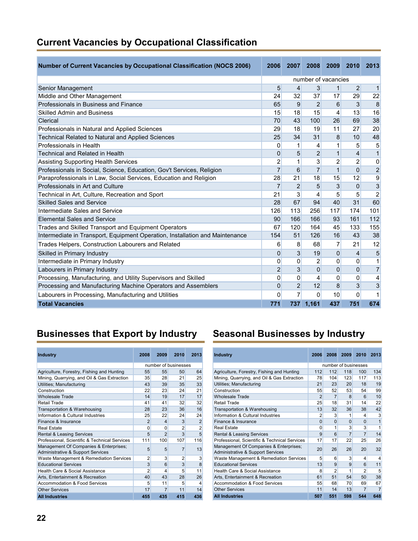# **Current Vacancies by Occupational Classification**

| <b>Number of Current Vacancies by Occupational Classification (NOCS 2006)</b> | 2006           | 2007           | 2008           | 2009                | 2010           | 2013             |
|-------------------------------------------------------------------------------|----------------|----------------|----------------|---------------------|----------------|------------------|
|                                                                               |                |                |                | number of vacancies |                |                  |
| Senior Management                                                             | 5              | $\overline{4}$ | 3              | 1                   | 2              | $\mathbf{1}$     |
| Middle and Other Management                                                   | 24             | 32             | 37             | 17                  | 29             | 22               |
| Professionals in Business and Finance                                         | 65             | 9              | 2              | 6                   | 3              | $\boldsymbol{8}$ |
| <b>Skilled Admin and Business</b>                                             | 15             | 18             | 15             | 4                   | 13             | 16               |
| Clerical                                                                      | 70             | 43             | 100            | 26                  | 69             | 38               |
| Professionals in Natural and Applied Sciences                                 | 29             | 18             | 19             | 11                  | 27             | 20               |
| <b>Technical Related to Natural and Applied Sciences</b>                      | 25             | 34             | 31             | 8                   | 10             | 48               |
| Professionals in Health                                                       | 0              | 1              | 4              | 1                   | 5              | 5                |
| <b>Technical and Related in Health</b>                                        | 0              | 5              | $\overline{2}$ | $\mathbf{1}$        | 4              | 1                |
| <b>Assisting Supporting Health Services</b>                                   | $\overline{2}$ | 1              | 3              | $\overline{2}$      | $\overline{2}$ | $\mathbf 0$      |
| Professionals in Social, Science, Education, Gov't Services, Religion         | $\overline{7}$ | 6              | $\overline{7}$ | $\mathbf{1}$        | $\Omega$       | $\overline{c}$   |
| Paraprofessionals in Law, Social Services, Education and Religion             | 28             | 21             | 18             | 15                  | 12             | $\boldsymbol{9}$ |
| Professionals in Art and Culture                                              | $\overline{7}$ | $\overline{2}$ | 5              | 3                   | $\Omega$       | 3                |
| Technical in Art, Culture, Recreation and Sport                               | 21             | 3              | 4              | 5                   | 5              | $\overline{2}$   |
| <b>Skilled Sales and Service</b>                                              | 28             | 67             | 94             | 40                  | 31             | 60               |
| Intermediate Sales and Service                                                | 126            | 113            | 256            | 117                 | 174            | 101              |
| <b>Elemental Sales and Service</b>                                            | 90             | 166            | 166            | 93                  | 161            | 112              |
| Trades and Skilled Transport and Equipment Operators                          | 67             | 120            | 164            | 45                  | 133            | 155              |
| Intermediate in Transport, Equipment Operation, Installation and Maintenance  | 154            | 51             | 126            | 16                  | 43             | 38               |
| Trades Helpers, Construction Labourers and Related                            | 6              | 8              | 68             | 7                   | 21             | 12               |
| Skilled in Primary Industry                                                   | $\mathbf 0$    | 3              | 19             | $\Omega$            | 4              | 5                |
| Intermediate in Primary Industry                                              | 0              | 0              | 2              | 0                   | 0              | 1                |
| Labourers in Primary Industry                                                 | $\overline{2}$ | 3              | $\Omega$       | $\Omega$            | $\mathbf{0}$   | $\overline{7}$   |
| Processing, Manufacturing, and Utility Supervisors and Skilled                | 0              | $\mathbf{0}$   | 4              | $\mathbf 0$         | 0              | 4                |
| Processing and Manufacturing Machine Operators and Assemblers                 | $\mathbf 0$    | $\overline{2}$ | 12             | 8                   | 3              | 3                |
| Labourers in Processing, Manufacturing and Utilities                          | 0              | 7              | 0              | 10                  | 0              |                  |
| <b>Total Vacancies</b>                                                        | 771            |                | 737 1,161      | 437                 | 751            | 674              |

# **Businesses that Export by Industry Seasonal Businesses by Industry**

| <b>Industry</b>                                                             | 2008                 | 2009           | 2010           | 2013           |  |  |
|-----------------------------------------------------------------------------|----------------------|----------------|----------------|----------------|--|--|
|                                                                             | number of businesses |                |                |                |  |  |
| Agriculture, Forestry, Fishing and Hunting                                  | 55                   | 55             | 50             | 64             |  |  |
| Mining, Quarrying, and Oil & Gas Extraction                                 | 35                   | 28             | 21             | 25             |  |  |
| Utilities; Manufacturing                                                    | 43                   | 39             | 35             | 33             |  |  |
| Construction                                                                | 22                   | 23             | 24             | 21             |  |  |
| <b>Wholesale Trade</b>                                                      | 14                   | 19             | 17             | 17             |  |  |
| Retail Trade                                                                | 41                   | 41             | 32             | 32             |  |  |
| Transportation & Warehousing                                                | 28                   | 23             | 36             | 16             |  |  |
| Information & Cultural Industries                                           | 25                   | 22             | 24             | 24             |  |  |
| Finance & Insurance                                                         | 2                    | 4              | 3              | $\overline{2}$ |  |  |
| Real Estate                                                                 | O                    | 0              | 2              | $\overline{2}$ |  |  |
| <b>Rental &amp; Leasing Services</b>                                        | 5                    | $\mathfrak{p}$ | 3              | 5              |  |  |
| Professional, Scientific & Technical Services                               | 111                  | 100            | 107            | 116            |  |  |
| Management Of Companies & Enterprises;<br>Administrative & Support Services | 5                    | 5              | $\overline{7}$ | 13             |  |  |
| Waste Management & Remediation Services                                     | 2                    | 3              | 2              | 3              |  |  |
| <b>Educational Services</b>                                                 | 3                    | 6              | 3              | 8              |  |  |
| Health Care & Social Assistance                                             | 2                    | $\overline{4}$ | 5              | 11             |  |  |
| Arts, Entertainment & Recreation                                            | 40                   | 43             | 28             | 26             |  |  |
| Accommodation & Food Services                                               | 5                    | 11             | 5              | $\overline{4}$ |  |  |
| <b>Other Services</b>                                                       | 17                   | 7              | 11             | 14             |  |  |
| <b>All Industries</b>                                                       | 455                  | 435            | 415            | 436            |  |  |

| <b>Industry</b>                                                             | 2006           | 2008           | 2009                 | 2010           | 2013           |
|-----------------------------------------------------------------------------|----------------|----------------|----------------------|----------------|----------------|
|                                                                             |                |                | number of businesses |                |                |
| Agriculture, Forestry, Fishing and Hunting                                  | 112            | 112            | 118                  | 100            | 134            |
| Mining, Quarrying, and Oil & Gas Extraction                                 | 78             | 104            | 123                  | 117            | 113            |
| Utilities; Manufacturing                                                    | 21             | 23             | 20                   | 18             | 19             |
| Construction                                                                | 55             | 52             | 53                   | 54             | 99             |
| <b>Wholesale Trade</b>                                                      | $\overline{2}$ | $\overline{7}$ | 8                    | 6              | 10             |
| Retail Trade                                                                | 25             | 18             | 31                   | 14             | 22             |
| Transportation & Warehousing                                                | 13             | 32             | 36                   | 38             | 42             |
| Information & Cultural Industries                                           | 2              | 3              | 1                    | 4              | 3              |
| Finance & Insurance                                                         | $\Omega$       | $\Omega$       | $\Omega$             | $\Omega$       | $\overline{1}$ |
| Real Estate                                                                 | O              | 1              | 3                    | 3              | 1              |
| <b>Rental &amp; Leasing Services</b>                                        | 9              | 6              | $\overline{7}$       | $\overline{7}$ | 14             |
| Professional, Scientific & Technical Services                               | 17             | 17             | 22                   | 25             | 26             |
| Management Of Companies & Enterprises;<br>Administrative & Support Services | 20             | 26             | 26                   | 20             | 32             |
| Waste Management & Remediation Services                                     | 5              | 6              | 3                    | 4              | 4              |
| <b>Educational Services</b>                                                 | 13             | 9              | 9                    | 6              | 11             |
| Health Care & Social Assistance                                             | 8              | 2              | 1                    | $\overline{2}$ | 5              |
| Arts, Entertainment & Recreation                                            | 61             | 51             | 54                   | 50             | 38             |
| Accommodation & Food Services                                               | 55             | 68             | 70                   | 69             | 67             |
| <b>Other Services</b>                                                       | 11             | 14             | 13                   | $\overline{7}$ | $\overline{7}$ |
| <b>All Industries</b>                                                       | 507            | 551            | 598                  | 544            | 648            |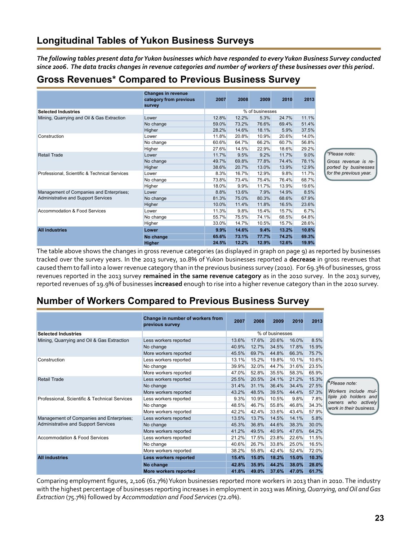*The following tables present data for Yukon businesses which have responded to every Yukon Business Survey conducted since 2006. The data tracks changes in revenue categories and number of workers of these businesses over this period.*

## **Gross Revenues\* Compared to Previous Business Survey**

|                                               | <b>Changes in revenue</b><br>category from previous<br>survey | 2007  | 2008  | 2009            | 2010  | 2013  |
|-----------------------------------------------|---------------------------------------------------------------|-------|-------|-----------------|-------|-------|
| <b>Selected Industries</b>                    |                                                               |       |       | % of businesses |       |       |
| Mining, Quarrying and Oil & Gas Extraction    | Lower                                                         | 12.8% | 12.2% | 5.3%            | 24.7% | 11.1% |
|                                               | No change                                                     | 59.0% | 73.2% | 76.6%           | 69.4% | 51.4% |
|                                               | Higher                                                        | 28.2% | 14.6% | 18.1%           | 5.9%  | 37.5% |
| Construction                                  | Lower                                                         | 11.8% | 20.8% | 10.9%           | 20.6% | 14.0% |
|                                               | No change                                                     | 60.6% | 64.7% | 66.2%           | 60.7% | 56.8% |
|                                               | Higher                                                        | 27.6% | 14.5% | 22.9%           | 18.6% | 29.2% |
| <b>Retail Trade</b>                           | Lower                                                         | 11.7% | 9.5%  | 9.2%            | 11.7% | 9.0%  |
|                                               | No change                                                     | 49.7% | 69.8% | 77.8%           | 74.4% | 78.1% |
|                                               | Higher                                                        | 38.6% | 20.7% | 13.0%           | 13.9% | 12.9% |
| Professional, Scientific & Technical Services | Lower                                                         | 8.3%  | 16.7% | 12.9%           | 9.8%  | 11.7% |
|                                               | No change                                                     | 73.8% | 73.4% | 75.4%           | 76.4% | 68.7% |
|                                               | Higher                                                        | 18.0% | 9.9%  | 11.7%           | 13.9% | 19.6% |
| Management of Companies and Enterprises;      | Lower                                                         | 8.8%  | 13.6% | 7.9%            | 14.9% | 8.5%  |
| Administrative and Support Services           | No change                                                     | 81.3% | 75.0% | 80.3%           | 68.6% | 67.9% |
|                                               | Higher                                                        | 10.0% | 11.4% | 11.8%           | 16.5% | 23.6% |
| Accommodation & Food Services                 | Lower                                                         | 11.3% | 9.8%  | 15.4%           | 15.7% | 6.7%  |
|                                               | No change                                                     | 55.7% | 75.5% | 74.1%           | 68.5% | 64.8% |
|                                               | Higher                                                        | 33.0% | 14.7% | 10.5%           | 15.7% | 28.6% |
| <b>All industries</b>                         | Lower                                                         | 9.9%  | 14.6% | 9.4%            | 13.2% | 10.8% |
|                                               | No change                                                     | 65.6% | 73.1% | 77.7%           | 74.2% | 69.3% |
|                                               | <b>Higher</b>                                                 | 24.5% | 12.2% | 12.9%           | 12.6% | 19.9% |

*\*Please note: Gross revenue is reported by businesses for the previous year.*

The table above shows the changes in gross revenue categories (as displayed in graph on page 9) as reported by businesses tracked over the survey years. In the 2013 survey, 10.8% of Yukon businesses reported a **decrease** in gross revenues that caused them to fall into a lower revenue category than in the previous business survey (2010). For 69.3% of businesses, gross revenues reported in the 2013 survey **remained in the same revenue category** as in the 2010 survey. In the 2013 survey, reported revenues of 19.9% of businesses **increased** enough to rise into a higher revenue category than in the 2010 survey.

## **Number of Workers Compared to Previous Business Survey**

|                                               | Change in number of workers from<br>previous survey | 2007  | 2008  | 2009            | 2010  | 2013  |
|-----------------------------------------------|-----------------------------------------------------|-------|-------|-----------------|-------|-------|
| <b>Selected Industries</b>                    |                                                     |       |       | % of businesses |       |       |
| Mining, Quarrying and Oil & Gas Extraction    | Less workers reported                               | 13.6% | 17.6% | 20.6%           | 16.0% | 8.5%  |
|                                               | No change                                           | 40.9% | 12.7% | 34.5%           | 17.8% | 15.9% |
|                                               | More workers reported                               | 45.5% | 69.7% | 44.8%           | 66.3% | 75.7% |
| Construction                                  | Less workers reported                               | 13.1% | 15.2% | 19.8%           | 10.1% | 10.6% |
|                                               | No change                                           | 39.9% | 32.0% | 44.7%           | 31.6% | 23.5% |
|                                               | More workers reported                               | 47.0% | 52.8% | 35.5%           | 58.3% | 65.9% |
| <b>Retail Trade</b>                           | Less workers reported                               | 25.5% | 20.5% | 24.1%           | 21.2% | 15.3% |
|                                               | No change                                           | 31.4% | 31.1% | 36.4%           | 34.4% | 27.5% |
|                                               | More workers reported                               | 43.2% | 48.5% | 39.5%           | 44.4% | 57.3% |
| Professional, Scientific & Technical Services | Less workers reported                               | 9.3%  | 10.9% | 10.5%           | 9.8%  | 7.8%  |
|                                               | No change                                           | 48.5% | 46.7% | 55.8%           | 46.8% | 34.3% |
|                                               | More workers reported                               | 42.2% | 42.4% | 33.6%           | 43.4% | 57.9% |
| Management of Companies and Enterprises;      | Less workers reported                               | 13.5% | 13.7% | 14.5%           | 14.1% | 5.8%  |
| Administrative and Support Services           | No change                                           | 45.3% | 36.8% | 44.6%           | 38.3% | 30.0% |
|                                               | More workers reported                               | 41.2% | 49.5% | 40.9%           | 47.6% | 64.2% |
| <b>Accommodation &amp; Food Services</b>      | Less workers reported                               | 21.2% | 17.5% | 23.8%           | 22.6% | 11.5% |
|                                               | No change                                           | 40.6% | 26.7% | 33.8%           | 25.0% | 16.5% |
|                                               | More workers reported                               | 38.2% | 55.8% | 42.4%           | 52.4% | 72.0% |
| <b>All industries</b>                         | Less workers reported                               | 15.4% | 15.0% | 18.2%           | 15.0% | 10.3% |
|                                               | No change                                           | 42.8% | 35.9% | 44.2%           | 38.0% | 28.0% |
|                                               | More workers reported                               | 41.8% | 49.0% | 37.6%           | 47.0% | 61.7% |

**\****Please note:* 

rs include mul*tiple job holders and owners who actively work in their business.*

Comparing employment figures, 2,106 (61.7%) Yukon businesses reported more workers in 2013 than in 2010. The industry with the highest percentage of businesses reporting increases in employment in 2013 was *Mining, Quarrying, and Oil and Gas Extraction* (75.7%) followed by *Accommodation and Food Services* (72.0%).